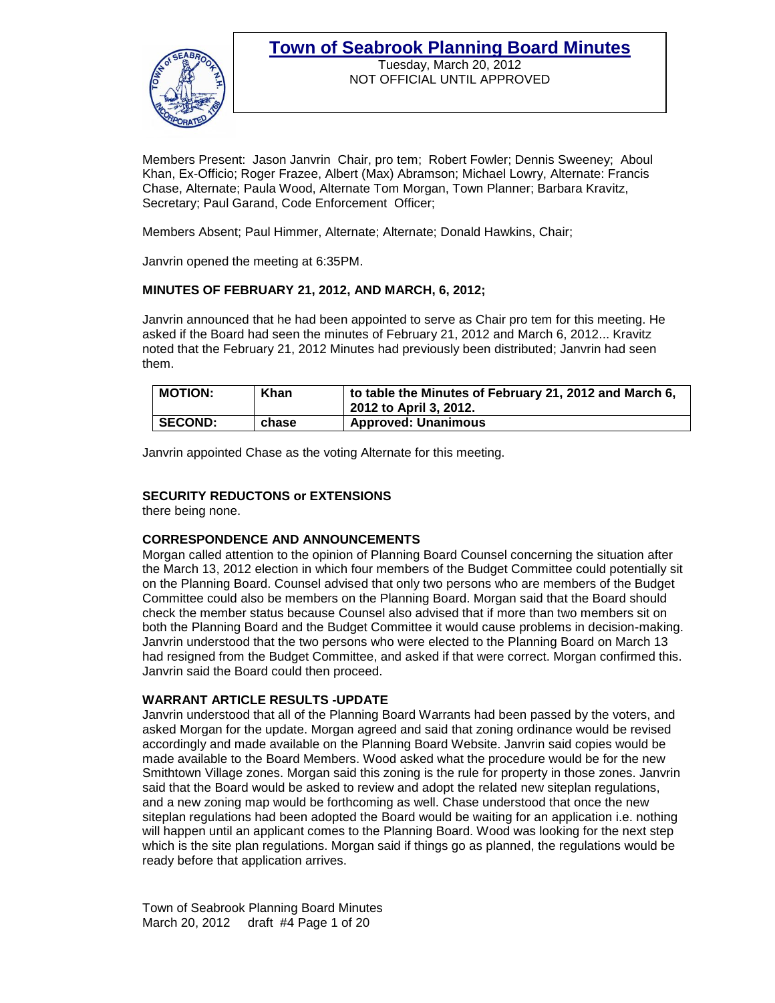

Tuesday, March 20, 2012 NOT OFFICIAL UNTIL APPROVED

Members Present: Jason Janvrin Chair, pro tem; Robert Fowler; Dennis Sweeney; Aboul Khan, Ex-Officio; Roger Frazee, Albert (Max) Abramson; Michael Lowry, Alternate: Francis Chase, Alternate; Paula Wood, Alternate Tom Morgan, Town Planner; Barbara Kravitz, Secretary; Paul Garand, Code Enforcement Officer;

Members Absent; Paul Himmer, Alternate; Alternate; Donald Hawkins, Chair;

Janvrin opened the meeting at 6:35PM.

### **MINUTES OF FEBRUARY 21, 2012, AND MARCH, 6, 2012;**

Janvrin announced that he had been appointed to serve as Chair pro tem for this meeting. He asked if the Board had seen the minutes of February 21, 2012 and March 6, 2012... Kravitz noted that the February 21, 2012 Minutes had previously been distributed; Janvrin had seen them.

| <b>MOTION:</b> | Khan  | to table the Minutes of February 21, 2012 and March 6,<br>2012 to April 3, 2012. |
|----------------|-------|----------------------------------------------------------------------------------|
| <b>SECOND:</b> | chase | <b>Approved: Unanimous</b>                                                       |

Janvrin appointed Chase as the voting Alternate for this meeting.

### **SECURITY REDUCTONS or EXTENSIONS**

there being none.

### **CORRESPONDENCE AND ANNOUNCEMENTS**

Morgan called attention to the opinion of Planning Board Counsel concerning the situation after the March 13, 2012 election in which four members of the Budget Committee could potentially sit on the Planning Board. Counsel advised that only two persons who are members of the Budget Committee could also be members on the Planning Board. Morgan said that the Board should check the member status because Counsel also advised that if more than two members sit on both the Planning Board and the Budget Committee it would cause problems in decision-making. Janvrin understood that the two persons who were elected to the Planning Board on March 13 had resigned from the Budget Committee, and asked if that were correct. Morgan confirmed this. Janvrin said the Board could then proceed.

### **WARRANT ARTICLE RESULTS -UPDATE**

Janvrin understood that all of the Planning Board Warrants had been passed by the voters, and asked Morgan for the update. Morgan agreed and said that zoning ordinance would be revised accordingly and made available on the Planning Board Website. Janvrin said copies would be made available to the Board Members. Wood asked what the procedure would be for the new Smithtown Village zones. Morgan said this zoning is the rule for property in those zones. Janvrin said that the Board would be asked to review and adopt the related new siteplan regulations, and a new zoning map would be forthcoming as well. Chase understood that once the new siteplan regulations had been adopted the Board would be waiting for an application i.e. nothing will happen until an applicant comes to the Planning Board. Wood was looking for the next step which is the site plan regulations. Morgan said if things go as planned, the regulations would be ready before that application arrives.

Town of Seabrook Planning Board Minutes March 20, 2012 draft #4 Page 1 of 20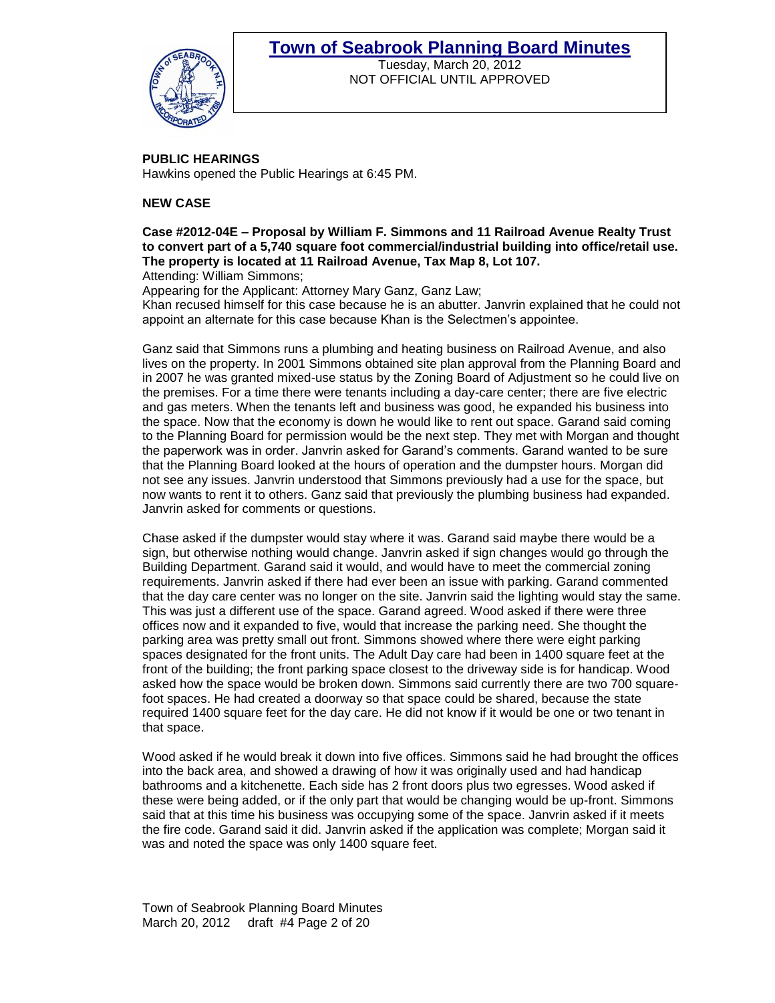

Tuesday, March 20, 2012 NOT OFFICIAL UNTIL APPROVED

# **PUBLIC HEARINGS**

Hawkins opened the Public Hearings at 6:45 PM.

### **NEW CASE**

**Case #2012-04E – Proposal by William F. Simmons and 11 Railroad Avenue Realty Trust to convert part of a 5,740 square foot commercial/industrial building into office/retail use. The property is located at 11 Railroad Avenue, Tax Map 8, Lot 107.**  Attending: William Simmons;

Appearing for the Applicant: Attorney Mary Ganz, Ganz Law;

Khan recused himself for this case because he is an abutter. Janvrin explained that he could not appoint an alternate for this case because Khan is the Selectmen"s appointee.

Ganz said that Simmons runs a plumbing and heating business on Railroad Avenue, and also lives on the property. In 2001 Simmons obtained site plan approval from the Planning Board and in 2007 he was granted mixed-use status by the Zoning Board of Adjustment so he could live on the premises. For a time there were tenants including a day-care center; there are five electric and gas meters. When the tenants left and business was good, he expanded his business into the space. Now that the economy is down he would like to rent out space. Garand said coming to the Planning Board for permission would be the next step. They met with Morgan and thought the paperwork was in order. Janvrin asked for Garand"s comments. Garand wanted to be sure that the Planning Board looked at the hours of operation and the dumpster hours. Morgan did not see any issues. Janvrin understood that Simmons previously had a use for the space, but now wants to rent it to others. Ganz said that previously the plumbing business had expanded. Janvrin asked for comments or questions.

Chase asked if the dumpster would stay where it was. Garand said maybe there would be a sign, but otherwise nothing would change. Janvrin asked if sign changes would go through the Building Department. Garand said it would, and would have to meet the commercial zoning requirements. Janvrin asked if there had ever been an issue with parking. Garand commented that the day care center was no longer on the site. Janvrin said the lighting would stay the same. This was just a different use of the space. Garand agreed. Wood asked if there were three offices now and it expanded to five, would that increase the parking need. She thought the parking area was pretty small out front. Simmons showed where there were eight parking spaces designated for the front units. The Adult Day care had been in 1400 square feet at the front of the building; the front parking space closest to the driveway side is for handicap. Wood asked how the space would be broken down. Simmons said currently there are two 700 squarefoot spaces. He had created a doorway so that space could be shared, because the state required 1400 square feet for the day care. He did not know if it would be one or two tenant in that space.

Wood asked if he would break it down into five offices. Simmons said he had brought the offices into the back area, and showed a drawing of how it was originally used and had handicap bathrooms and a kitchenette. Each side has 2 front doors plus two egresses. Wood asked if these were being added, or if the only part that would be changing would be up-front. Simmons said that at this time his business was occupying some of the space. Janvrin asked if it meets the fire code. Garand said it did. Janvrin asked if the application was complete; Morgan said it was and noted the space was only 1400 square feet.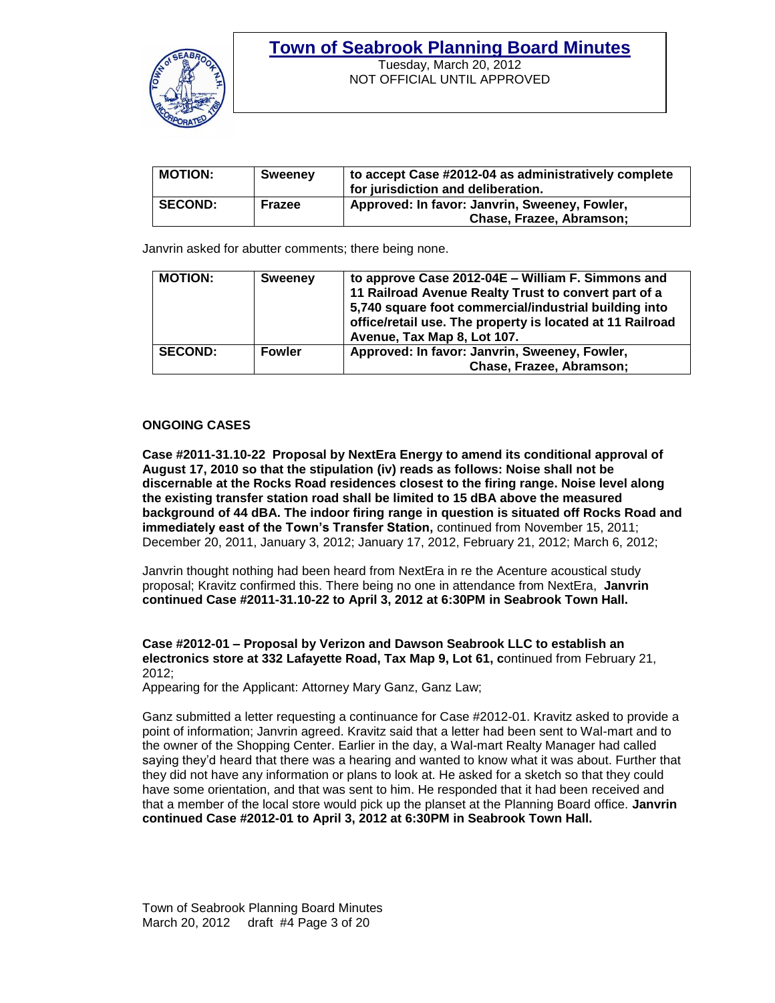

Tuesday, March 20, 2012 NOT OFFICIAL UNTIL APPROVED

| <b>MOTION:</b> | <b>Sweeney</b> | to accept Case #2012-04 as administratively complete<br>for jurisdiction and deliberation. |
|----------------|----------------|--------------------------------------------------------------------------------------------|
| <b>SECOND:</b> | Frazee         | Approved: In favor: Janvrin, Sweeney, Fowler,<br>Chase, Frazee, Abramson;                  |

Janvrin asked for abutter comments; there being none.

| <b>MOTION:</b> | <b>Sweeney</b> | to approve Case 2012-04E - William F. Simmons and<br>11 Railroad Avenue Realty Trust to convert part of a<br>5,740 square foot commercial/industrial building into<br>office/retail use. The property is located at 11 Railroad<br>Avenue, Tax Map 8, Lot 107. |
|----------------|----------------|----------------------------------------------------------------------------------------------------------------------------------------------------------------------------------------------------------------------------------------------------------------|
| <b>SECOND:</b> | <b>Fowler</b>  | Approved: In favor: Janvrin, Sweeney, Fowler,<br>Chase, Frazee, Abramson;                                                                                                                                                                                      |

### **ONGOING CASES**

**Case #2011-31.10-22 Proposal by NextEra Energy to amend its conditional approval of August 17, 2010 so that the stipulation (iv) reads as follows: Noise shall not be discernable at the Rocks Road residences closest to the firing range. Noise level along the existing transfer station road shall be limited to 15 dBA above the measured background of 44 dBA. The indoor firing range in question is situated off Rocks Road and immediately east of the Town's Transfer Station,** continued from November 15, 2011; December 20, 2011, January 3, 2012; January 17, 2012, February 21, 2012; March 6, 2012;

Janvrin thought nothing had been heard from NextEra in re the Acenture acoustical study proposal; Kravitz confirmed this. There being no one in attendance from NextEra, **Janvrin continued Case #2011-31.10-22 to April 3, 2012 at 6:30PM in Seabrook Town Hall.** 

### **Case #2012-01 – Proposal by Verizon and Dawson Seabrook LLC to establish an electronics store at 332 Lafayette Road, Tax Map 9, Lot 61, c**ontinued from February 21, 2012;

Appearing for the Applicant: Attorney Mary Ganz, Ganz Law;

Ganz submitted a letter requesting a continuance for Case #2012-01. Kravitz asked to provide a point of information; Janvrin agreed. Kravitz said that a letter had been sent to Wal-mart and to the owner of the Shopping Center. Earlier in the day, a Wal-mart Realty Manager had called saying they"d heard that there was a hearing and wanted to know what it was about. Further that they did not have any information or plans to look at. He asked for a sketch so that they could have some orientation, and that was sent to him. He responded that it had been received and that a member of the local store would pick up the planset at the Planning Board office. **Janvrin continued Case #2012-01 to April 3, 2012 at 6:30PM in Seabrook Town Hall.**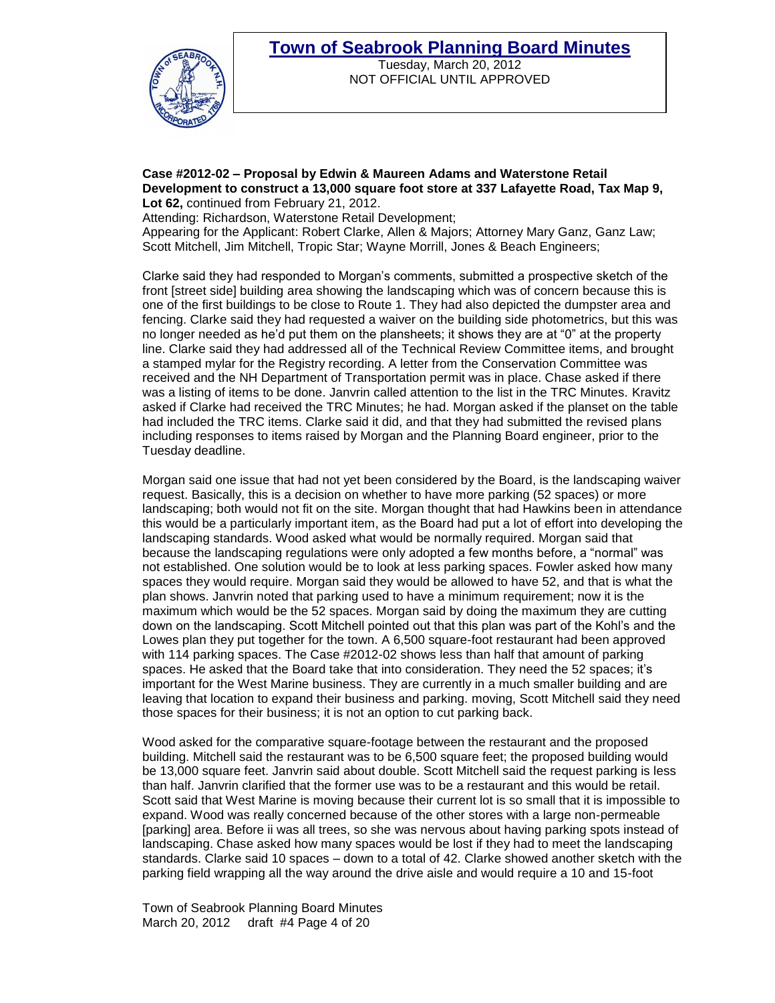

Tuesday, March 20, 2012 NOT OFFICIAL UNTIL APPROVED

#### **Case #2012-02 – Proposal by Edwin & Maureen Adams and Waterstone Retail Development to construct a 13,000 square foot store at 337 Lafayette Road, Tax Map 9,**  Lot 62, continued from February 21, 2012.

Attending: Richardson, Waterstone Retail Development;

Appearing for the Applicant: Robert Clarke, Allen & Majors; Attorney Mary Ganz, Ganz Law; Scott Mitchell, Jim Mitchell, Tropic Star; Wayne Morrill, Jones & Beach Engineers;

Clarke said they had responded to Morgan"s comments, submitted a prospective sketch of the front [street side] building area showing the landscaping which was of concern because this is one of the first buildings to be close to Route 1. They had also depicted the dumpster area and fencing. Clarke said they had requested a waiver on the building side photometrics, but this was no longer needed as he"d put them on the plansheets; it shows they are at "0" at the property line. Clarke said they had addressed all of the Technical Review Committee items, and brought a stamped mylar for the Registry recording. A letter from the Conservation Committee was received and the NH Department of Transportation permit was in place. Chase asked if there was a listing of items to be done. Janvrin called attention to the list in the TRC Minutes. Kravitz asked if Clarke had received the TRC Minutes; he had. Morgan asked if the planset on the table had included the TRC items. Clarke said it did, and that they had submitted the revised plans including responses to items raised by Morgan and the Planning Board engineer, prior to the Tuesday deadline.

Morgan said one issue that had not yet been considered by the Board, is the landscaping waiver request. Basically, this is a decision on whether to have more parking (52 spaces) or more landscaping; both would not fit on the site. Morgan thought that had Hawkins been in attendance this would be a particularly important item, as the Board had put a lot of effort into developing the landscaping standards. Wood asked what would be normally required. Morgan said that because the landscaping regulations were only adopted a few months before, a "normal" was not established. One solution would be to look at less parking spaces. Fowler asked how many spaces they would require. Morgan said they would be allowed to have 52, and that is what the plan shows. Janvrin noted that parking used to have a minimum requirement; now it is the maximum which would be the 52 spaces. Morgan said by doing the maximum they are cutting down on the landscaping. Scott Mitchell pointed out that this plan was part of the Kohl"s and the Lowes plan they put together for the town. A 6,500 square-foot restaurant had been approved with 114 parking spaces. The Case #2012-02 shows less than half that amount of parking spaces. He asked that the Board take that into consideration. They need the 52 spaces; it's important for the West Marine business. They are currently in a much smaller building and are leaving that location to expand their business and parking. moving, Scott Mitchell said they need those spaces for their business; it is not an option to cut parking back.

Wood asked for the comparative square-footage between the restaurant and the proposed building. Mitchell said the restaurant was to be 6,500 square feet; the proposed building would be 13,000 square feet. Janvrin said about double. Scott Mitchell said the request parking is less than half. Janvrin clarified that the former use was to be a restaurant and this would be retail. Scott said that West Marine is moving because their current lot is so small that it is impossible to expand. Wood was really concerned because of the other stores with a large non-permeable [parking] area. Before ii was all trees, so she was nervous about having parking spots instead of landscaping. Chase asked how many spaces would be lost if they had to meet the landscaping standards. Clarke said 10 spaces – down to a total of 42. Clarke showed another sketch with the parking field wrapping all the way around the drive aisle and would require a 10 and 15-foot

Town of Seabrook Planning Board Minutes March 20, 2012 draft #4 Page 4 of 20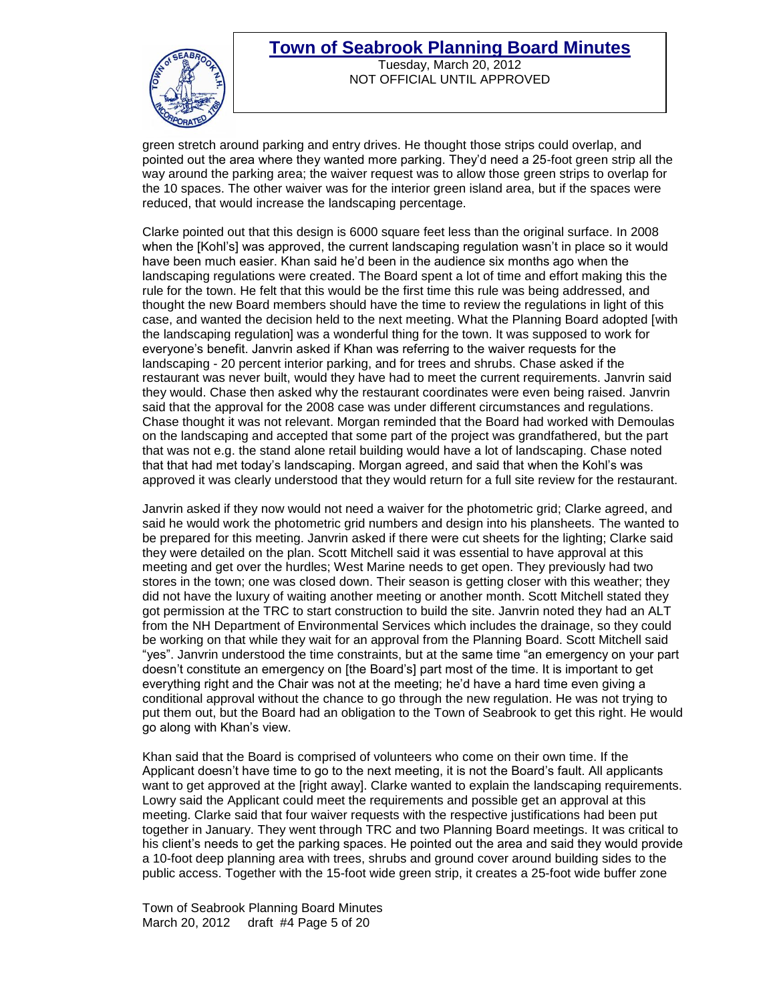

Tuesday, March 20, 2012 NOT OFFICIAL UNTIL APPROVED

green stretch around parking and entry drives. He thought those strips could overlap, and pointed out the area where they wanted more parking. They"d need a 25-foot green strip all the way around the parking area; the waiver request was to allow those green strips to overlap for the 10 spaces. The other waiver was for the interior green island area, but if the spaces were reduced, that would increase the landscaping percentage.

Clarke pointed out that this design is 6000 square feet less than the original surface. In 2008 when the [Kohl's] was approved, the current landscaping regulation wasn't in place so it would have been much easier. Khan said he"d been in the audience six months ago when the landscaping regulations were created. The Board spent a lot of time and effort making this the rule for the town. He felt that this would be the first time this rule was being addressed, and thought the new Board members should have the time to review the regulations in light of this case, and wanted the decision held to the next meeting. What the Planning Board adopted [with the landscaping regulation] was a wonderful thing for the town. It was supposed to work for everyone"s benefit. Janvrin asked if Khan was referring to the waiver requests for the landscaping - 20 percent interior parking, and for trees and shrubs. Chase asked if the restaurant was never built, would they have had to meet the current requirements. Janvrin said they would. Chase then asked why the restaurant coordinates were even being raised. Janvrin said that the approval for the 2008 case was under different circumstances and regulations. Chase thought it was not relevant. Morgan reminded that the Board had worked with Demoulas on the landscaping and accepted that some part of the project was grandfathered, but the part that was not e.g. the stand alone retail building would have a lot of landscaping. Chase noted that that had met today"s landscaping. Morgan agreed, and said that when the Kohl"s was approved it was clearly understood that they would return for a full site review for the restaurant.

Janvrin asked if they now would not need a waiver for the photometric grid; Clarke agreed, and said he would work the photometric grid numbers and design into his plansheets. The wanted to be prepared for this meeting. Janvrin asked if there were cut sheets for the lighting; Clarke said they were detailed on the plan. Scott Mitchell said it was essential to have approval at this meeting and get over the hurdles; West Marine needs to get open. They previously had two stores in the town; one was closed down. Their season is getting closer with this weather; they did not have the luxury of waiting another meeting or another month. Scott Mitchell stated they got permission at the TRC to start construction to build the site. Janvrin noted they had an ALT from the NH Department of Environmental Services which includes the drainage, so they could be working on that while they wait for an approval from the Planning Board. Scott Mitchell said "yes". Janvrin understood the time constraints, but at the same time "an emergency on your part doesn"t constitute an emergency on [the Board"s] part most of the time. It is important to get everything right and the Chair was not at the meeting; he"d have a hard time even giving a conditional approval without the chance to go through the new regulation. He was not trying to put them out, but the Board had an obligation to the Town of Seabrook to get this right. He would go along with Khan"s view.

Khan said that the Board is comprised of volunteers who come on their own time. If the Applicant doesn"t have time to go to the next meeting, it is not the Board"s fault. All applicants want to get approved at the [right away]. Clarke wanted to explain the landscaping requirements. Lowry said the Applicant could meet the requirements and possible get an approval at this meeting. Clarke said that four waiver requests with the respective justifications had been put together in January. They went through TRC and two Planning Board meetings. It was critical to his client"s needs to get the parking spaces. He pointed out the area and said they would provide a 10-foot deep planning area with trees, shrubs and ground cover around building sides to the public access. Together with the 15-foot wide green strip, it creates a 25-foot wide buffer zone

Town of Seabrook Planning Board Minutes March 20, 2012 draft #4 Page 5 of 20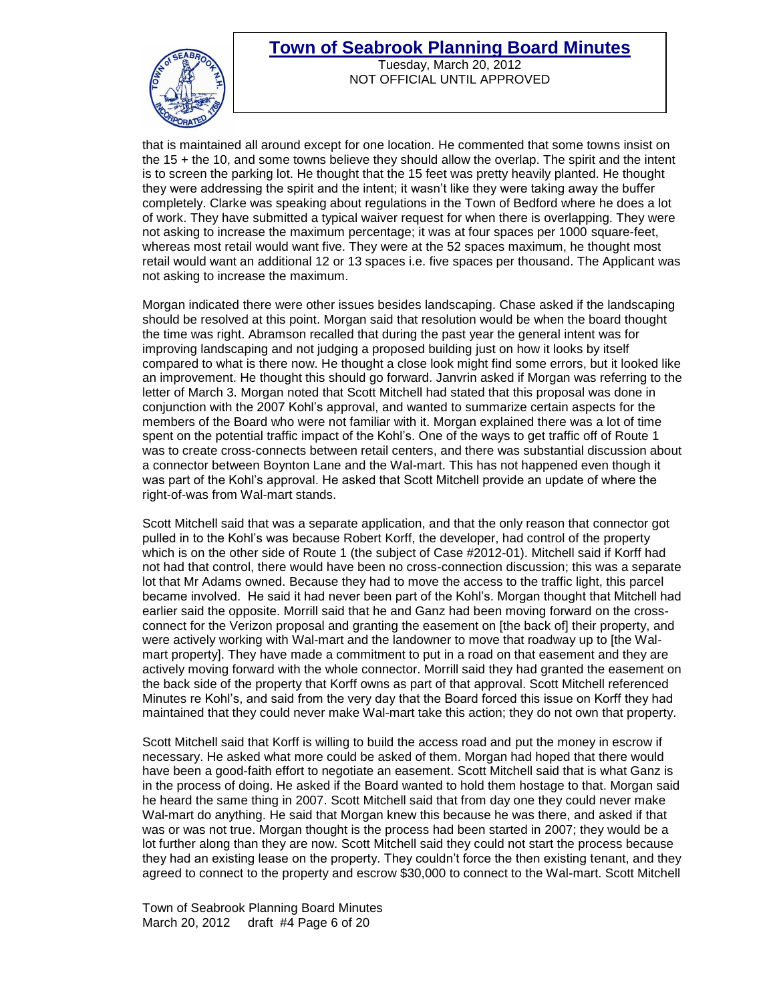

Tuesday, March 20, 2012 NOT OFFICIAL UNTIL APPROVED

that is maintained all around except for one location. He commented that some towns insist on the 15 + the 10, and some towns believe they should allow the overlap. The spirit and the intent is to screen the parking lot. He thought that the 15 feet was pretty heavily planted. He thought they were addressing the spirit and the intent; it wasn't like they were taking away the buffer completely. Clarke was speaking about regulations in the Town of Bedford where he does a lot of work. They have submitted a typical waiver request for when there is overlapping. They were not asking to increase the maximum percentage; it was at four spaces per 1000 square-feet, whereas most retail would want five. They were at the 52 spaces maximum, he thought most retail would want an additional 12 or 13 spaces i.e. five spaces per thousand. The Applicant was not asking to increase the maximum.

Morgan indicated there were other issues besides landscaping. Chase asked if the landscaping should be resolved at this point. Morgan said that resolution would be when the board thought the time was right. Abramson recalled that during the past year the general intent was for improving landscaping and not judging a proposed building just on how it looks by itself compared to what is there now. He thought a close look might find some errors, but it looked like an improvement. He thought this should go forward. Janvrin asked if Morgan was referring to the letter of March 3. Morgan noted that Scott Mitchell had stated that this proposal was done in conjunction with the 2007 Kohl"s approval, and wanted to summarize certain aspects for the members of the Board who were not familiar with it. Morgan explained there was a lot of time spent on the potential traffic impact of the Kohl's. One of the ways to get traffic off of Route 1 was to create cross-connects between retail centers, and there was substantial discussion about a connector between Boynton Lane and the Wal-mart. This has not happened even though it was part of the Kohl"s approval. He asked that Scott Mitchell provide an update of where the right-of-was from Wal-mart stands.

Scott Mitchell said that was a separate application, and that the only reason that connector got pulled in to the Kohl"s was because Robert Korff, the developer, had control of the property which is on the other side of Route 1 (the subject of Case #2012-01). Mitchell said if Korff had not had that control, there would have been no cross-connection discussion; this was a separate lot that Mr Adams owned. Because they had to move the access to the traffic light, this parcel became involved. He said it had never been part of the Kohl"s. Morgan thought that Mitchell had earlier said the opposite. Morrill said that he and Ganz had been moving forward on the crossconnect for the Verizon proposal and granting the easement on [the back of] their property, and were actively working with Wal-mart and the landowner to move that roadway up to [the Walmart property]. They have made a commitment to put in a road on that easement and they are actively moving forward with the whole connector. Morrill said they had granted the easement on the back side of the property that Korff owns as part of that approval. Scott Mitchell referenced Minutes re Kohl"s, and said from the very day that the Board forced this issue on Korff they had maintained that they could never make Wal-mart take this action; they do not own that property.

Scott Mitchell said that Korff is willing to build the access road and put the money in escrow if necessary. He asked what more could be asked of them. Morgan had hoped that there would have been a good-faith effort to negotiate an easement. Scott Mitchell said that is what Ganz is in the process of doing. He asked if the Board wanted to hold them hostage to that. Morgan said he heard the same thing in 2007. Scott Mitchell said that from day one they could never make Wal-mart do anything. He said that Morgan knew this because he was there, and asked if that was or was not true. Morgan thought is the process had been started in 2007; they would be a lot further along than they are now. Scott Mitchell said they could not start the process because they had an existing lease on the property. They couldn"t force the then existing tenant, and they agreed to connect to the property and escrow \$30,000 to connect to the Wal-mart. Scott Mitchell

Town of Seabrook Planning Board Minutes March 20, 2012 draft #4 Page 6 of 20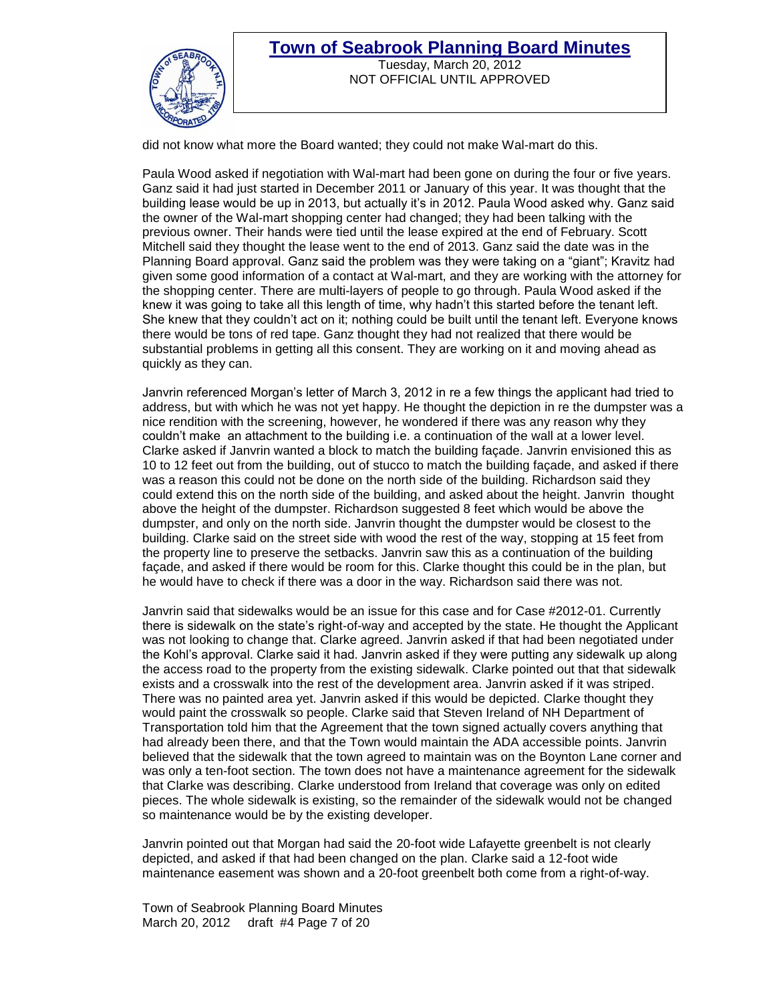

Tuesday, March 20, 2012 NOT OFFICIAL UNTIL APPROVED

did not know what more the Board wanted; they could not make Wal-mart do this.

Paula Wood asked if negotiation with Wal-mart had been gone on during the four or five years. Ganz said it had just started in December 2011 or January of this year. It was thought that the building lease would be up in 2013, but actually it"s in 2012. Paula Wood asked why. Ganz said the owner of the Wal-mart shopping center had changed; they had been talking with the previous owner. Their hands were tied until the lease expired at the end of February. Scott Mitchell said they thought the lease went to the end of 2013. Ganz said the date was in the Planning Board approval. Ganz said the problem was they were taking on a "giant"; Kravitz had given some good information of a contact at Wal-mart, and they are working with the attorney for the shopping center. There are multi-layers of people to go through. Paula Wood asked if the knew it was going to take all this length of time, why hadn"t this started before the tenant left. She knew that they couldn"t act on it; nothing could be built until the tenant left. Everyone knows there would be tons of red tape. Ganz thought they had not realized that there would be substantial problems in getting all this consent. They are working on it and moving ahead as quickly as they can.

Janvrin referenced Morgan"s letter of March 3, 2012 in re a few things the applicant had tried to address, but with which he was not yet happy. He thought the depiction in re the dumpster was a nice rendition with the screening, however, he wondered if there was any reason why they couldn"t make an attachment to the building i.e. a continuation of the wall at a lower level. Clarke asked if Janvrin wanted a block to match the building façade. Janvrin envisioned this as 10 to 12 feet out from the building, out of stucco to match the building façade, and asked if there was a reason this could not be done on the north side of the building. Richardson said they could extend this on the north side of the building, and asked about the height. Janvrin thought above the height of the dumpster. Richardson suggested 8 feet which would be above the dumpster, and only on the north side. Janvrin thought the dumpster would be closest to the building. Clarke said on the street side with wood the rest of the way, stopping at 15 feet from the property line to preserve the setbacks. Janvrin saw this as a continuation of the building façade, and asked if there would be room for this. Clarke thought this could be in the plan, but he would have to check if there was a door in the way. Richardson said there was not.

Janvrin said that sidewalks would be an issue for this case and for Case #2012-01. Currently there is sidewalk on the state"s right-of-way and accepted by the state. He thought the Applicant was not looking to change that. Clarke agreed. Janvrin asked if that had been negotiated under the Kohl"s approval. Clarke said it had. Janvrin asked if they were putting any sidewalk up along the access road to the property from the existing sidewalk. Clarke pointed out that that sidewalk exists and a crosswalk into the rest of the development area. Janvrin asked if it was striped. There was no painted area yet. Janvrin asked if this would be depicted. Clarke thought they would paint the crosswalk so people. Clarke said that Steven Ireland of NH Department of Transportation told him that the Agreement that the town signed actually covers anything that had already been there, and that the Town would maintain the ADA accessible points. Janvrin believed that the sidewalk that the town agreed to maintain was on the Boynton Lane corner and was only a ten-foot section. The town does not have a maintenance agreement for the sidewalk that Clarke was describing. Clarke understood from Ireland that coverage was only on edited pieces. The whole sidewalk is existing, so the remainder of the sidewalk would not be changed so maintenance would be by the existing developer.

Janvrin pointed out that Morgan had said the 20-foot wide Lafayette greenbelt is not clearly depicted, and asked if that had been changed on the plan. Clarke said a 12-foot wide maintenance easement was shown and a 20-foot greenbelt both come from a right-of-way.

Town of Seabrook Planning Board Minutes March 20, 2012 draft #4 Page 7 of 20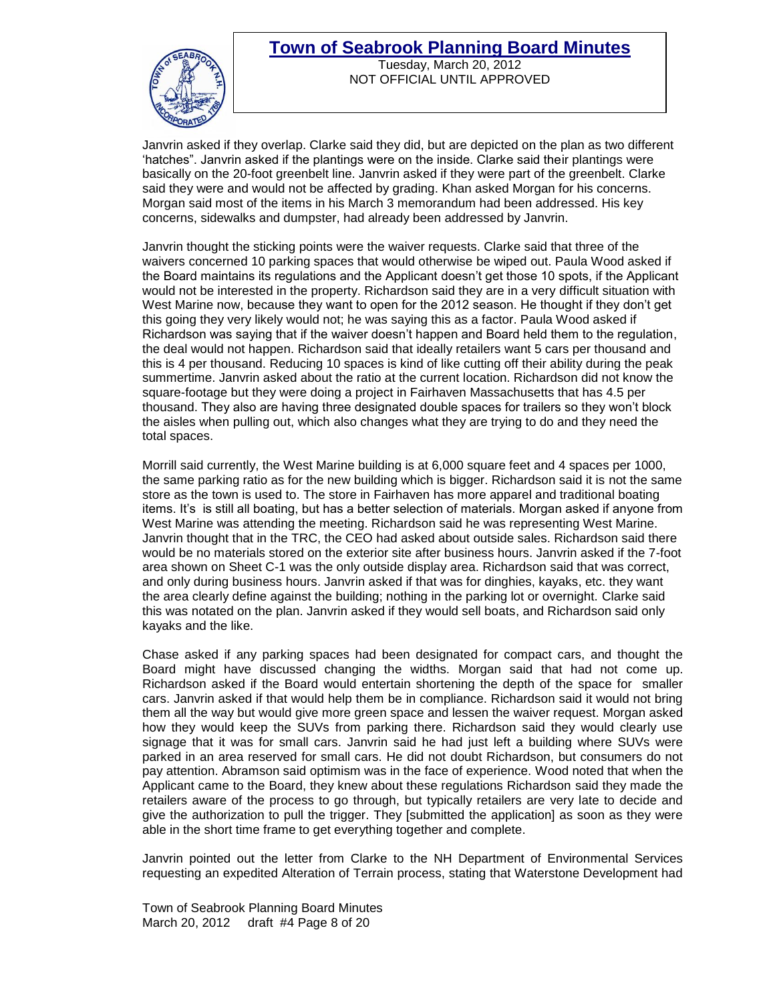

Tuesday, March 20, 2012 NOT OFFICIAL UNTIL APPROVED

Janvrin asked if they overlap. Clarke said they did, but are depicted on the plan as two different "hatches". Janvrin asked if the plantings were on the inside. Clarke said their plantings were basically on the 20-foot greenbelt line. Janvrin asked if they were part of the greenbelt. Clarke said they were and would not be affected by grading. Khan asked Morgan for his concerns. Morgan said most of the items in his March 3 memorandum had been addressed. His key concerns, sidewalks and dumpster, had already been addressed by Janvrin.

Janvrin thought the sticking points were the waiver requests. Clarke said that three of the waivers concerned 10 parking spaces that would otherwise be wiped out. Paula Wood asked if the Board maintains its regulations and the Applicant doesn"t get those 10 spots, if the Applicant would not be interested in the property. Richardson said they are in a very difficult situation with West Marine now, because they want to open for the 2012 season. He thought if they don"t get this going they very likely would not; he was saying this as a factor. Paula Wood asked if Richardson was saying that if the waiver doesn"t happen and Board held them to the regulation, the deal would not happen. Richardson said that ideally retailers want 5 cars per thousand and this is 4 per thousand. Reducing 10 spaces is kind of like cutting off their ability during the peak summertime. Janvrin asked about the ratio at the current location. Richardson did not know the square-footage but they were doing a project in Fairhaven Massachusetts that has 4.5 per thousand. They also are having three designated double spaces for trailers so they won"t block the aisles when pulling out, which also changes what they are trying to do and they need the total spaces.

Morrill said currently, the West Marine building is at 6,000 square feet and 4 spaces per 1000, the same parking ratio as for the new building which is bigger. Richardson said it is not the same store as the town is used to. The store in Fairhaven has more apparel and traditional boating items. It's is still all boating, but has a better selection of materials. Morgan asked if anyone from West Marine was attending the meeting. Richardson said he was representing West Marine. Janvrin thought that in the TRC, the CEO had asked about outside sales. Richardson said there would be no materials stored on the exterior site after business hours. Janvrin asked if the 7-foot area shown on Sheet C-1 was the only outside display area. Richardson said that was correct, and only during business hours. Janvrin asked if that was for dinghies, kayaks, etc. they want the area clearly define against the building; nothing in the parking lot or overnight. Clarke said this was notated on the plan. Janvrin asked if they would sell boats, and Richardson said only kayaks and the like.

Chase asked if any parking spaces had been designated for compact cars, and thought the Board might have discussed changing the widths. Morgan said that had not come up. Richardson asked if the Board would entertain shortening the depth of the space for smaller cars. Janvrin asked if that would help them be in compliance. Richardson said it would not bring them all the way but would give more green space and lessen the waiver request. Morgan asked how they would keep the SUVs from parking there. Richardson said they would clearly use signage that it was for small cars. Janvrin said he had just left a building where SUVs were parked in an area reserved for small cars. He did not doubt Richardson, but consumers do not pay attention. Abramson said optimism was in the face of experience. Wood noted that when the Applicant came to the Board, they knew about these regulations Richardson said they made the retailers aware of the process to go through, but typically retailers are very late to decide and give the authorization to pull the trigger. They [submitted the application] as soon as they were able in the short time frame to get everything together and complete.

Janvrin pointed out the letter from Clarke to the NH Department of Environmental Services requesting an expedited Alteration of Terrain process, stating that Waterstone Development had

Town of Seabrook Planning Board Minutes March 20, 2012 draft #4 Page 8 of 20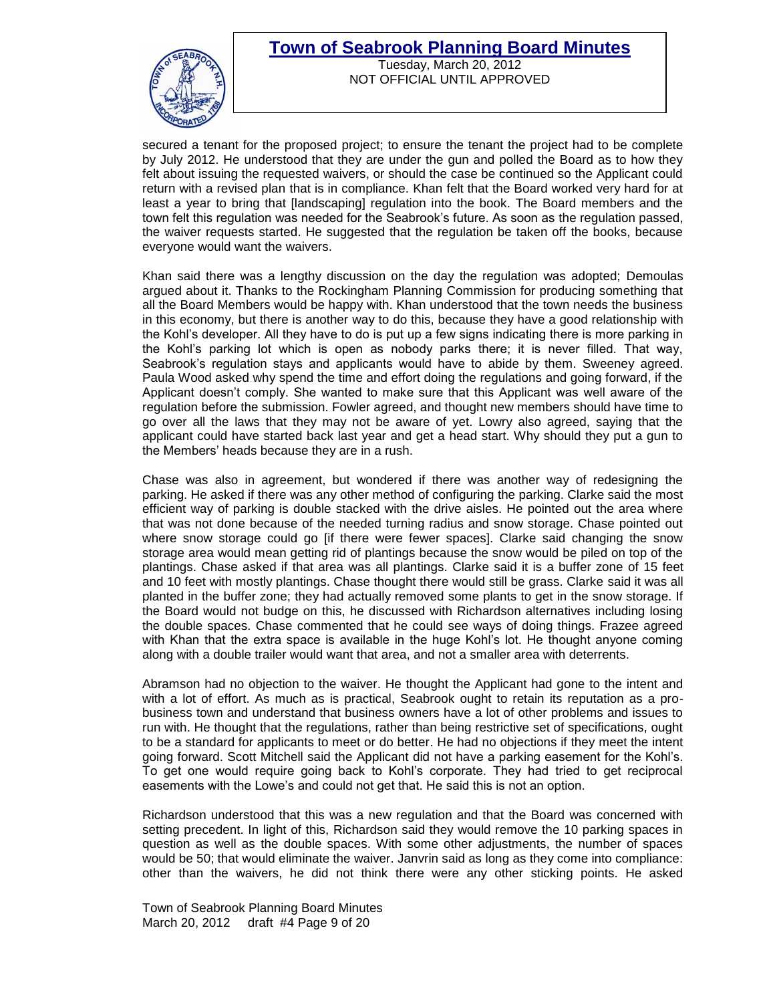

Tuesday, March 20, 2012 NOT OFFICIAL UNTIL APPROVED

secured a tenant for the proposed project; to ensure the tenant the project had to be complete by July 2012. He understood that they are under the gun and polled the Board as to how they felt about issuing the requested waivers, or should the case be continued so the Applicant could return with a revised plan that is in compliance. Khan felt that the Board worked very hard for at least a year to bring that [landscaping] regulation into the book. The Board members and the town felt this regulation was needed for the Seabrook"s future. As soon as the regulation passed, the waiver requests started. He suggested that the regulation be taken off the books, because everyone would want the waivers.

Khan said there was a lengthy discussion on the day the regulation was adopted; Demoulas argued about it. Thanks to the Rockingham Planning Commission for producing something that all the Board Members would be happy with. Khan understood that the town needs the business in this economy, but there is another way to do this, because they have a good relationship with the Kohl"s developer. All they have to do is put up a few signs indicating there is more parking in the Kohl"s parking lot which is open as nobody parks there; it is never filled. That way, Seabrook's regulation stays and applicants would have to abide by them. Sweeney agreed. Paula Wood asked why spend the time and effort doing the regulations and going forward, if the Applicant doesn"t comply. She wanted to make sure that this Applicant was well aware of the regulation before the submission. Fowler agreed, and thought new members should have time to go over all the laws that they may not be aware of yet. Lowry also agreed, saying that the applicant could have started back last year and get a head start. Why should they put a gun to the Members" heads because they are in a rush.

Chase was also in agreement, but wondered if there was another way of redesigning the parking. He asked if there was any other method of configuring the parking. Clarke said the most efficient way of parking is double stacked with the drive aisles. He pointed out the area where that was not done because of the needed turning radius and snow storage. Chase pointed out where snow storage could go [if there were fewer spaces]. Clarke said changing the snow storage area would mean getting rid of plantings because the snow would be piled on top of the plantings. Chase asked if that area was all plantings. Clarke said it is a buffer zone of 15 feet and 10 feet with mostly plantings. Chase thought there would still be grass. Clarke said it was all planted in the buffer zone; they had actually removed some plants to get in the snow storage. If the Board would not budge on this, he discussed with Richardson alternatives including losing the double spaces. Chase commented that he could see ways of doing things. Frazee agreed with Khan that the extra space is available in the huge Kohl"s lot. He thought anyone coming along with a double trailer would want that area, and not a smaller area with deterrents.

Abramson had no objection to the waiver. He thought the Applicant had gone to the intent and with a lot of effort. As much as is practical, Seabrook ought to retain its reputation as a probusiness town and understand that business owners have a lot of other problems and issues to run with. He thought that the regulations, rather than being restrictive set of specifications, ought to be a standard for applicants to meet or do better. He had no objections if they meet the intent going forward. Scott Mitchell said the Applicant did not have a parking easement for the Kohl"s. To get one would require going back to Kohl"s corporate. They had tried to get reciprocal easements with the Lowe's and could not get that. He said this is not an option.

Richardson understood that this was a new regulation and that the Board was concerned with setting precedent. In light of this, Richardson said they would remove the 10 parking spaces in question as well as the double spaces. With some other adjustments, the number of spaces would be 50; that would eliminate the waiver. Janvrin said as long as they come into compliance: other than the waivers, he did not think there were any other sticking points. He asked

Town of Seabrook Planning Board Minutes March 20, 2012 draft #4 Page 9 of 20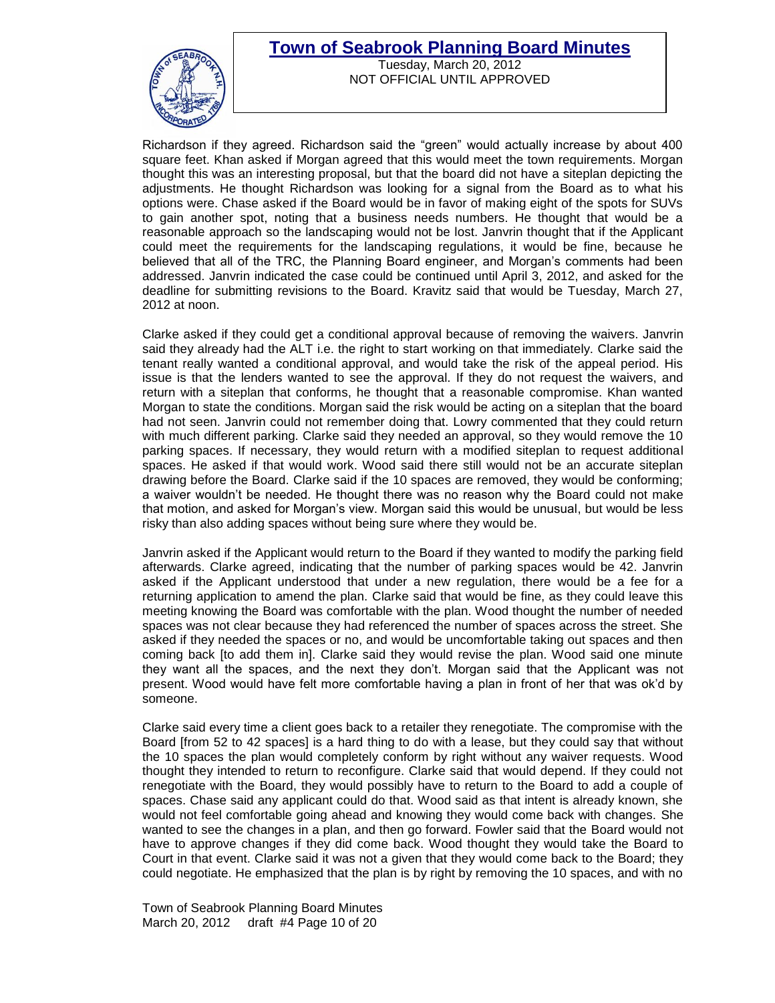

Tuesday, March 20, 2012 NOT OFFICIAL UNTIL APPROVED

Richardson if they agreed. Richardson said the "green" would actually increase by about 400 square feet. Khan asked if Morgan agreed that this would meet the town requirements. Morgan thought this was an interesting proposal, but that the board did not have a siteplan depicting the adjustments. He thought Richardson was looking for a signal from the Board as to what his options were. Chase asked if the Board would be in favor of making eight of the spots for SUVs to gain another spot, noting that a business needs numbers. He thought that would be a reasonable approach so the landscaping would not be lost. Janvrin thought that if the Applicant could meet the requirements for the landscaping regulations, it would be fine, because he believed that all of the TRC, the Planning Board engineer, and Morgan"s comments had been addressed. Janvrin indicated the case could be continued until April 3, 2012, and asked for the deadline for submitting revisions to the Board. Kravitz said that would be Tuesday, March 27, 2012 at noon.

Clarke asked if they could get a conditional approval because of removing the waivers. Janvrin said they already had the ALT i.e. the right to start working on that immediately. Clarke said the tenant really wanted a conditional approval, and would take the risk of the appeal period. His issue is that the lenders wanted to see the approval. If they do not request the waivers, and return with a siteplan that conforms, he thought that a reasonable compromise. Khan wanted Morgan to state the conditions. Morgan said the risk would be acting on a siteplan that the board had not seen. Janvrin could not remember doing that. Lowry commented that they could return with much different parking. Clarke said they needed an approval, so they would remove the 10 parking spaces. If necessary, they would return with a modified siteplan to request additional spaces. He asked if that would work. Wood said there still would not be an accurate siteplan drawing before the Board. Clarke said if the 10 spaces are removed, they would be conforming; a waiver wouldn"t be needed. He thought there was no reason why the Board could not make that motion, and asked for Morgan"s view. Morgan said this would be unusual, but would be less risky than also adding spaces without being sure where they would be.

Janvrin asked if the Applicant would return to the Board if they wanted to modify the parking field afterwards. Clarke agreed, indicating that the number of parking spaces would be 42. Janvrin asked if the Applicant understood that under a new regulation, there would be a fee for a returning application to amend the plan. Clarke said that would be fine, as they could leave this meeting knowing the Board was comfortable with the plan. Wood thought the number of needed spaces was not clear because they had referenced the number of spaces across the street. She asked if they needed the spaces or no, and would be uncomfortable taking out spaces and then coming back [to add them in]. Clarke said they would revise the plan. Wood said one minute they want all the spaces, and the next they don"t. Morgan said that the Applicant was not present. Wood would have felt more comfortable having a plan in front of her that was ok"d by someone.

Clarke said every time a client goes back to a retailer they renegotiate. The compromise with the Board [from 52 to 42 spaces] is a hard thing to do with a lease, but they could say that without the 10 spaces the plan would completely conform by right without any waiver requests. Wood thought they intended to return to reconfigure. Clarke said that would depend. If they could not renegotiate with the Board, they would possibly have to return to the Board to add a couple of spaces. Chase said any applicant could do that. Wood said as that intent is already known, she would not feel comfortable going ahead and knowing they would come back with changes. She wanted to see the changes in a plan, and then go forward. Fowler said that the Board would not have to approve changes if they did come back. Wood thought they would take the Board to Court in that event. Clarke said it was not a given that they would come back to the Board; they could negotiate. He emphasized that the plan is by right by removing the 10 spaces, and with no

Town of Seabrook Planning Board Minutes March 20, 2012 draft #4 Page 10 of 20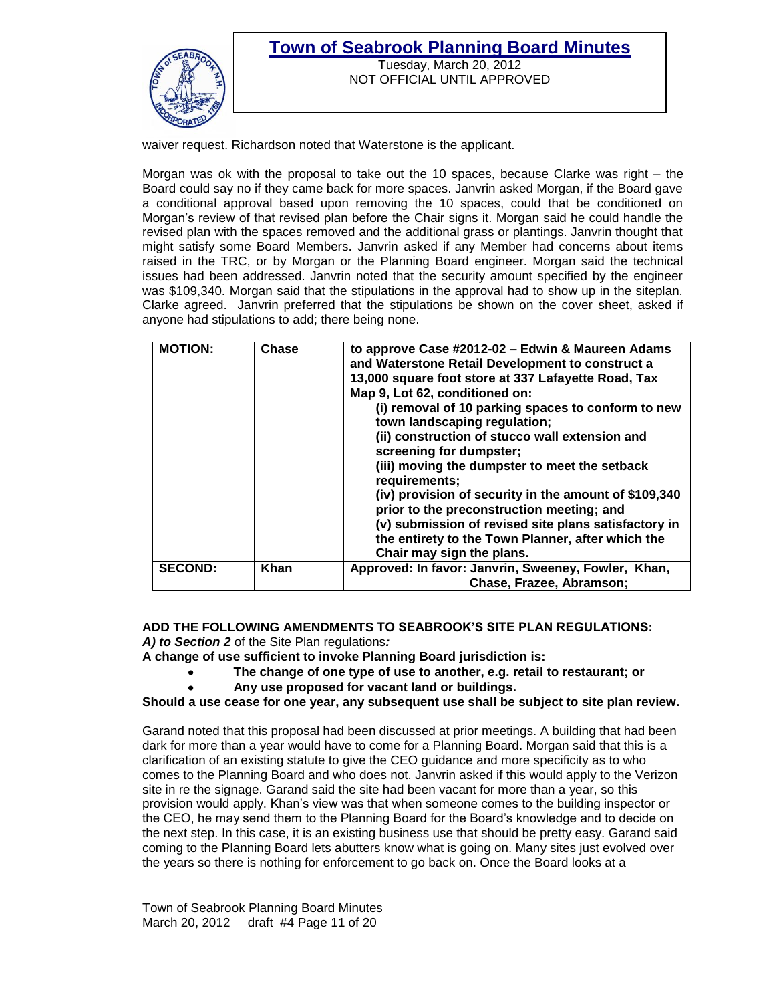

Tuesday, March 20, 2012 NOT OFFICIAL UNTIL APPROVED

waiver request. Richardson noted that Waterstone is the applicant.

Morgan was ok with the proposal to take out the 10 spaces, because Clarke was right – the Board could say no if they came back for more spaces. Janvrin asked Morgan, if the Board gave a conditional approval based upon removing the 10 spaces, could that be conditioned on Morgan"s review of that revised plan before the Chair signs it. Morgan said he could handle the revised plan with the spaces removed and the additional grass or plantings. Janvrin thought that might satisfy some Board Members. Janvrin asked if any Member had concerns about items raised in the TRC, or by Morgan or the Planning Board engineer. Morgan said the technical issues had been addressed. Janvrin noted that the security amount specified by the engineer was \$109,340. Morgan said that the stipulations in the approval had to show up in the siteplan. Clarke agreed. Janvrin preferred that the stipulations be shown on the cover sheet, asked if anyone had stipulations to add; there being none.

| <b>MOTION:</b> | Chase | to approve Case #2012-02 - Edwin & Maureen Adams<br>and Waterstone Retail Development to construct a<br>13,000 square foot store at 337 Lafayette Road, Tax<br>Map 9, Lot 62, conditioned on:<br>(i) removal of 10 parking spaces to conform to new<br>town landscaping regulation;<br>(ii) construction of stucco wall extension and<br>screening for dumpster;<br>(iii) moving the dumpster to meet the setback<br>requirements;<br>(iv) provision of security in the amount of \$109,340<br>prior to the preconstruction meeting; and<br>(v) submission of revised site plans satisfactory in<br>the entirety to the Town Planner, after which the<br>Chair may sign the plans. |
|----------------|-------|------------------------------------------------------------------------------------------------------------------------------------------------------------------------------------------------------------------------------------------------------------------------------------------------------------------------------------------------------------------------------------------------------------------------------------------------------------------------------------------------------------------------------------------------------------------------------------------------------------------------------------------------------------------------------------|
| <b>SECOND:</b> | Khan  | Approved: In favor: Janvrin, Sweeney, Fowler, Khan,<br>Chase, Frazee, Abramson;                                                                                                                                                                                                                                                                                                                                                                                                                                                                                                                                                                                                    |

**ADD THE FOLLOWING AMENDMENTS TO SEABROOK'S SITE PLAN REGULATIONS:** *A) to Section 2* of the Site Plan regulations*:*

**A change of use sufficient to invoke Planning Board jurisdiction is:**

- $\bullet$ **The change of one type of use to another, e.g. retail to restaurant; or**
	- **Any use proposed for vacant land or buildings.**

### **Should a use cease for one year, any subsequent use shall be subject to site plan review.**

Garand noted that this proposal had been discussed at prior meetings. A building that had been dark for more than a year would have to come for a Planning Board. Morgan said that this is a clarification of an existing statute to give the CEO guidance and more specificity as to who comes to the Planning Board and who does not. Janvrin asked if this would apply to the Verizon site in re the signage. Garand said the site had been vacant for more than a year, so this provision would apply. Khan"s view was that when someone comes to the building inspector or the CEO, he may send them to the Planning Board for the Board"s knowledge and to decide on the next step. In this case, it is an existing business use that should be pretty easy. Garand said coming to the Planning Board lets abutters know what is going on. Many sites just evolved over the years so there is nothing for enforcement to go back on. Once the Board looks at a

Town of Seabrook Planning Board Minutes March 20, 2012 draft #4 Page 11 of 20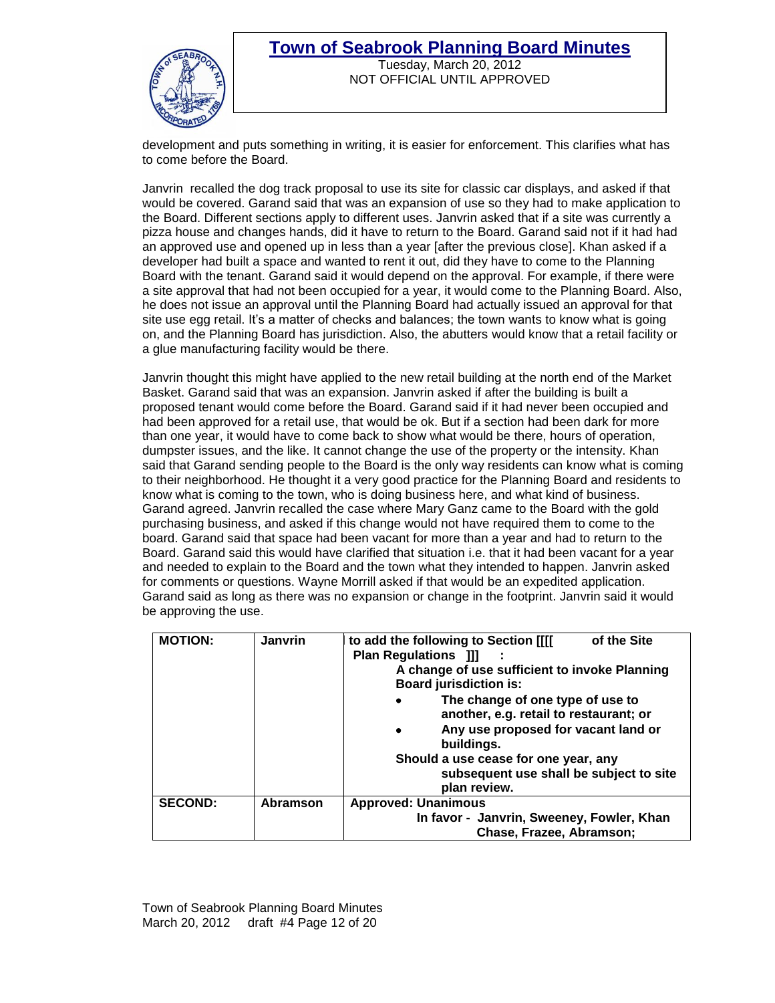

## **Town of Seabrook Planning Board Minutes** Tuesday, March 20, 2012

NOT OFFICIAL UNTIL APPROVED

development and puts something in writing, it is easier for enforcement. This clarifies what has to come before the Board.

Janvrin recalled the dog track proposal to use its site for classic car displays, and asked if that would be covered. Garand said that was an expansion of use so they had to make application to the Board. Different sections apply to different uses. Janvrin asked that if a site was currently a pizza house and changes hands, did it have to return to the Board. Garand said not if it had had an approved use and opened up in less than a year [after the previous close]. Khan asked if a developer had built a space and wanted to rent it out, did they have to come to the Planning Board with the tenant. Garand said it would depend on the approval. For example, if there were a site approval that had not been occupied for a year, it would come to the Planning Board. Also, he does not issue an approval until the Planning Board had actually issued an approval for that site use egg retail. It's a matter of checks and balances; the town wants to know what is going on, and the Planning Board has jurisdiction. Also, the abutters would know that a retail facility or a glue manufacturing facility would be there.

Janvrin thought this might have applied to the new retail building at the north end of the Market Basket. Garand said that was an expansion. Janvrin asked if after the building is built a proposed tenant would come before the Board. Garand said if it had never been occupied and had been approved for a retail use, that would be ok. But if a section had been dark for more than one year, it would have to come back to show what would be there, hours of operation, dumpster issues, and the like. It cannot change the use of the property or the intensity. Khan said that Garand sending people to the Board is the only way residents can know what is coming to their neighborhood. He thought it a very good practice for the Planning Board and residents to know what is coming to the town, who is doing business here, and what kind of business. Garand agreed. Janvrin recalled the case where Mary Ganz came to the Board with the gold purchasing business, and asked if this change would not have required them to come to the board. Garand said that space had been vacant for more than a year and had to return to the Board. Garand said this would have clarified that situation i.e. that it had been vacant for a year and needed to explain to the Board and the town what they intended to happen. Janvrin asked for comments or questions. Wayne Morrill asked if that would be an expedited application. Garand said as long as there was no expansion or change in the footprint. Janvrin said it would be approving the use.

| <b>MOTION:</b> | <b>Janvrin</b>  | of the Site<br>to add the following to Section [[[[<br><b>Plan Regulations [1]</b><br>A change of use sufficient to invoke Planning<br><b>Board jurisdiction is:</b><br>The change of one type of use to<br>$\bullet$<br>another, e.g. retail to restaurant; or<br>Any use proposed for vacant land or<br>$\bullet$<br>buildings.<br>Should a use cease for one year, any<br>subsequent use shall be subject to site<br>plan review. |
|----------------|-----------------|--------------------------------------------------------------------------------------------------------------------------------------------------------------------------------------------------------------------------------------------------------------------------------------------------------------------------------------------------------------------------------------------------------------------------------------|
| <b>SECOND:</b> | <b>Abramson</b> | <b>Approved: Unanimous</b><br>In favor - Janvrin, Sweeney, Fowler, Khan<br>Chase, Frazee, Abramson;                                                                                                                                                                                                                                                                                                                                  |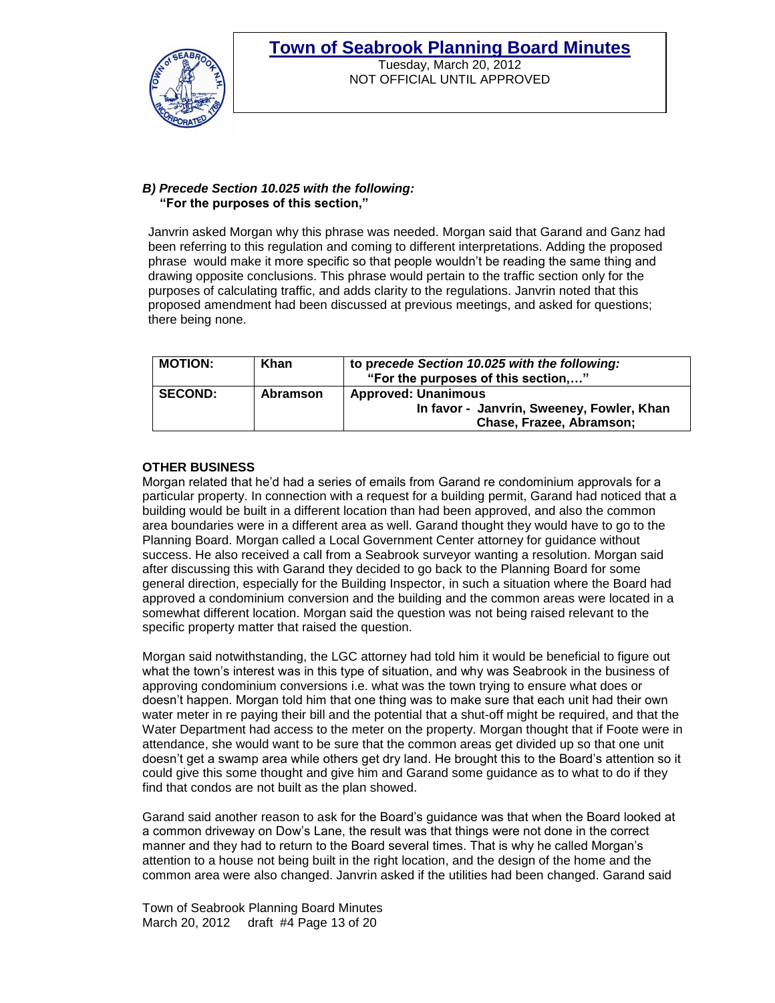

### Tuesday, March 20, 2012 NOT OFFICIAL UNTIL APPROVED

#### *B) Precede Section 10.025 with the following:*  **"For the purposes of this section,"**

Janvrin asked Morgan why this phrase was needed. Morgan said that Garand and Ganz had been referring to this regulation and coming to different interpretations. Adding the proposed phrase would make it more specific so that people wouldn"t be reading the same thing and drawing opposite conclusions. This phrase would pertain to the traffic section only for the purposes of calculating traffic, and adds clarity to the regulations. Janvrin noted that this proposed amendment had been discussed at previous meetings, and asked for questions; there being none.

| <b>MOTION:</b> | Khan     | to precede Section 10.025 with the following:<br>"For the purposes of this section,"                |
|----------------|----------|-----------------------------------------------------------------------------------------------------|
| <b>SECOND:</b> | Abramson | <b>Approved: Unanimous</b><br>In favor - Janvrin, Sweeney, Fowler, Khan<br>Chase, Frazee, Abramson; |

## **OTHER BUSINESS**

Morgan related that he"d had a series of emails from Garand re condominium approvals for a particular property. In connection with a request for a building permit, Garand had noticed that a building would be built in a different location than had been approved, and also the common area boundaries were in a different area as well. Garand thought they would have to go to the Planning Board. Morgan called a Local Government Center attorney for guidance without success. He also received a call from a Seabrook surveyor wanting a resolution. Morgan said after discussing this with Garand they decided to go back to the Planning Board for some general direction, especially for the Building Inspector, in such a situation where the Board had approved a condominium conversion and the building and the common areas were located in a somewhat different location. Morgan said the question was not being raised relevant to the specific property matter that raised the question.

Morgan said notwithstanding, the LGC attorney had told him it would be beneficial to figure out what the town"s interest was in this type of situation, and why was Seabrook in the business of approving condominium conversions i.e. what was the town trying to ensure what does or doesn"t happen. Morgan told him that one thing was to make sure that each unit had their own water meter in re paying their bill and the potential that a shut-off might be required, and that the Water Department had access to the meter on the property. Morgan thought that if Foote were in attendance, she would want to be sure that the common areas get divided up so that one unit doesn"t get a swamp area while others get dry land. He brought this to the Board"s attention so it could give this some thought and give him and Garand some guidance as to what to do if they find that condos are not built as the plan showed.

Garand said another reason to ask for the Board"s guidance was that when the Board looked at a common driveway on Dow"s Lane, the result was that things were not done in the correct manner and they had to return to the Board several times. That is why he called Morgan"s attention to a house not being built in the right location, and the design of the home and the common area were also changed. Janvrin asked if the utilities had been changed. Garand said

Town of Seabrook Planning Board Minutes March 20, 2012 draft #4 Page 13 of 20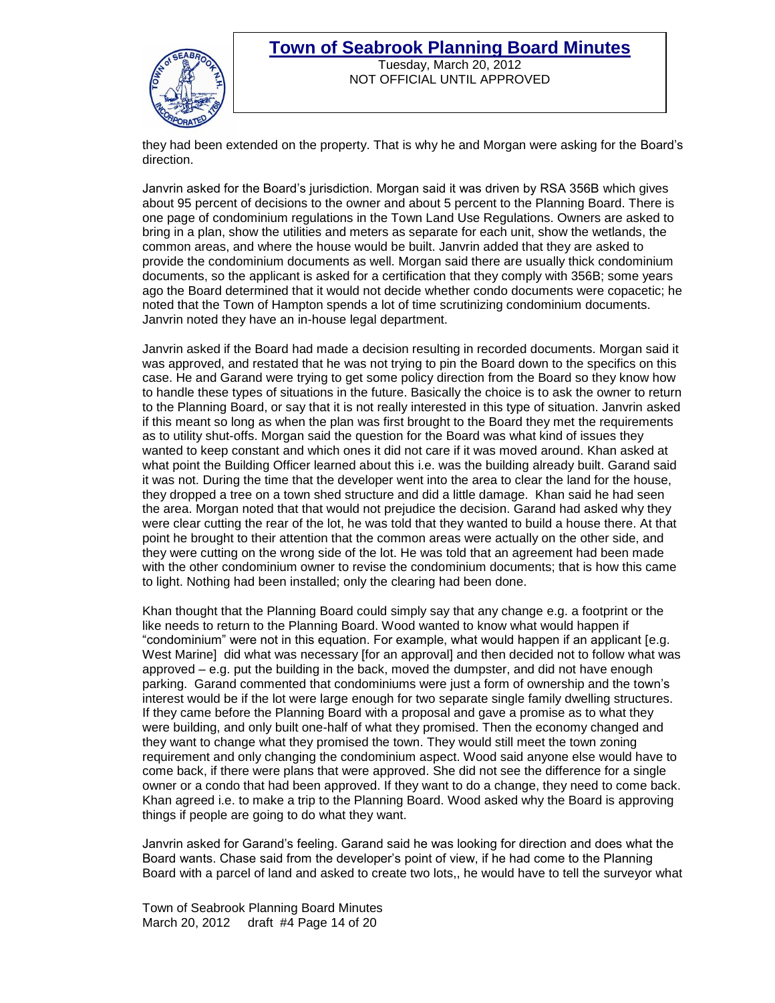

### **Town of Seabrook Planning Board Minutes** Tuesday, March 20, 2012

NOT OFFICIAL UNTIL APPROVED

they had been extended on the property. That is why he and Morgan were asking for the Board"s direction.

Janvrin asked for the Board"s jurisdiction. Morgan said it was driven by RSA 356B which gives about 95 percent of decisions to the owner and about 5 percent to the Planning Board. There is one page of condominium regulations in the Town Land Use Regulations. Owners are asked to bring in a plan, show the utilities and meters as separate for each unit, show the wetlands, the common areas, and where the house would be built. Janvrin added that they are asked to provide the condominium documents as well. Morgan said there are usually thick condominium documents, so the applicant is asked for a certification that they comply with 356B; some years ago the Board determined that it would not decide whether condo documents were copacetic; he noted that the Town of Hampton spends a lot of time scrutinizing condominium documents. Janvrin noted they have an in-house legal department.

Janvrin asked if the Board had made a decision resulting in recorded documents. Morgan said it was approved, and restated that he was not trying to pin the Board down to the specifics on this case. He and Garand were trying to get some policy direction from the Board so they know how to handle these types of situations in the future. Basically the choice is to ask the owner to return to the Planning Board, or say that it is not really interested in this type of situation. Janvrin asked if this meant so long as when the plan was first brought to the Board they met the requirements as to utility shut-offs. Morgan said the question for the Board was what kind of issues they wanted to keep constant and which ones it did not care if it was moved around. Khan asked at what point the Building Officer learned about this i.e. was the building already built. Garand said it was not. During the time that the developer went into the area to clear the land for the house, they dropped a tree on a town shed structure and did a little damage. Khan said he had seen the area. Morgan noted that that would not prejudice the decision. Garand had asked why they were clear cutting the rear of the lot, he was told that they wanted to build a house there. At that point he brought to their attention that the common areas were actually on the other side, and they were cutting on the wrong side of the lot. He was told that an agreement had been made with the other condominium owner to revise the condominium documents; that is how this came to light. Nothing had been installed; only the clearing had been done.

Khan thought that the Planning Board could simply say that any change e.g. a footprint or the like needs to return to the Planning Board. Wood wanted to know what would happen if "condominium" were not in this equation. For example, what would happen if an applicant [e.g. West Marine] did what was necessary [for an approval] and then decided not to follow what was approved – e.g. put the building in the back, moved the dumpster, and did not have enough parking. Garand commented that condominiums were just a form of ownership and the town"s interest would be if the lot were large enough for two separate single family dwelling structures. If they came before the Planning Board with a proposal and gave a promise as to what they were building, and only built one-half of what they promised. Then the economy changed and they want to change what they promised the town. They would still meet the town zoning requirement and only changing the condominium aspect. Wood said anyone else would have to come back, if there were plans that were approved. She did not see the difference for a single owner or a condo that had been approved. If they want to do a change, they need to come back. Khan agreed i.e. to make a trip to the Planning Board. Wood asked why the Board is approving things if people are going to do what they want.

Janvrin asked for Garand"s feeling. Garand said he was looking for direction and does what the Board wants. Chase said from the developer"s point of view, if he had come to the Planning Board with a parcel of land and asked to create two lots,, he would have to tell the surveyor what

Town of Seabrook Planning Board Minutes March 20, 2012 draft #4 Page 14 of 20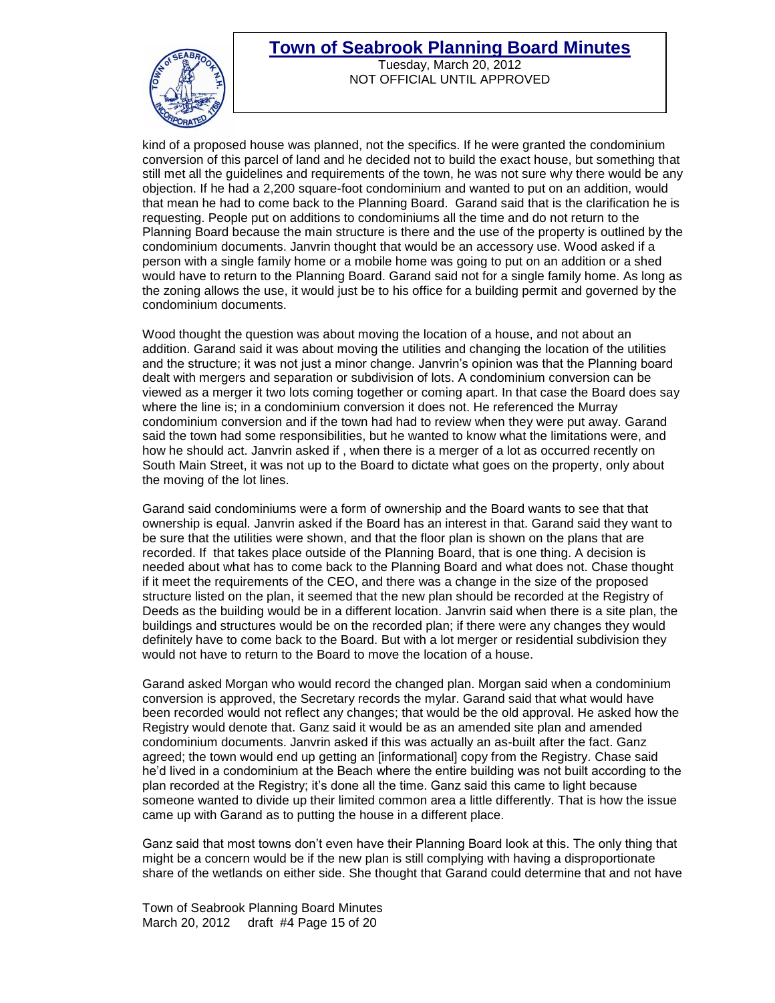

Tuesday, March 20, 2012 NOT OFFICIAL UNTIL APPROVED

kind of a proposed house was planned, not the specifics. If he were granted the condominium conversion of this parcel of land and he decided not to build the exact house, but something that still met all the guidelines and requirements of the town, he was not sure why there would be any objection. If he had a 2,200 square-foot condominium and wanted to put on an addition, would that mean he had to come back to the Planning Board. Garand said that is the clarification he is requesting. People put on additions to condominiums all the time and do not return to the Planning Board because the main structure is there and the use of the property is outlined by the condominium documents. Janvrin thought that would be an accessory use. Wood asked if a person with a single family home or a mobile home was going to put on an addition or a shed would have to return to the Planning Board. Garand said not for a single family home. As long as the zoning allows the use, it would just be to his office for a building permit and governed by the condominium documents.

Wood thought the question was about moving the location of a house, and not about an addition. Garand said it was about moving the utilities and changing the location of the utilities and the structure; it was not just a minor change. Janvrin"s opinion was that the Planning board dealt with mergers and separation or subdivision of lots. A condominium conversion can be viewed as a merger it two lots coming together or coming apart. In that case the Board does say where the line is; in a condominium conversion it does not. He referenced the Murray condominium conversion and if the town had had to review when they were put away. Garand said the town had some responsibilities, but he wanted to know what the limitations were, and how he should act. Janvrin asked if , when there is a merger of a lot as occurred recently on South Main Street, it was not up to the Board to dictate what goes on the property, only about the moving of the lot lines.

Garand said condominiums were a form of ownership and the Board wants to see that that ownership is equal. Janvrin asked if the Board has an interest in that. Garand said they want to be sure that the utilities were shown, and that the floor plan is shown on the plans that are recorded. If that takes place outside of the Planning Board, that is one thing. A decision is needed about what has to come back to the Planning Board and what does not. Chase thought if it meet the requirements of the CEO, and there was a change in the size of the proposed structure listed on the plan, it seemed that the new plan should be recorded at the Registry of Deeds as the building would be in a different location. Janvrin said when there is a site plan, the buildings and structures would be on the recorded plan; if there were any changes they would definitely have to come back to the Board. But with a lot merger or residential subdivision they would not have to return to the Board to move the location of a house.

Garand asked Morgan who would record the changed plan. Morgan said when a condominium conversion is approved, the Secretary records the mylar. Garand said that what would have been recorded would not reflect any changes; that would be the old approval. He asked how the Registry would denote that. Ganz said it would be as an amended site plan and amended condominium documents. Janvrin asked if this was actually an as-built after the fact. Ganz agreed; the town would end up getting an [informational] copy from the Registry. Chase said he"d lived in a condominium at the Beach where the entire building was not built according to the plan recorded at the Registry; it"s done all the time. Ganz said this came to light because someone wanted to divide up their limited common area a little differently. That is how the issue came up with Garand as to putting the house in a different place.

Ganz said that most towns don"t even have their Planning Board look at this. The only thing that might be a concern would be if the new plan is still complying with having a disproportionate share of the wetlands on either side. She thought that Garand could determine that and not have

Town of Seabrook Planning Board Minutes March 20, 2012 draft #4 Page 15 of 20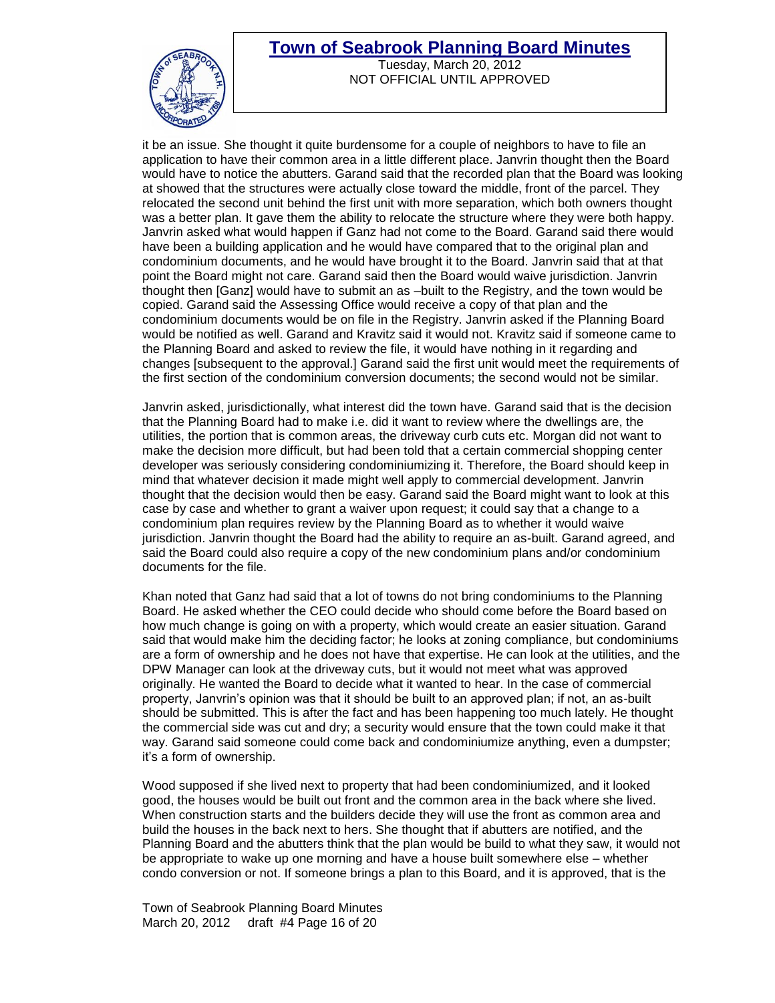

Tuesday, March 20, 2012 NOT OFFICIAL UNTIL APPROVED

it be an issue. She thought it quite burdensome for a couple of neighbors to have to file an application to have their common area in a little different place. Janvrin thought then the Board would have to notice the abutters. Garand said that the recorded plan that the Board was looking at showed that the structures were actually close toward the middle, front of the parcel. They relocated the second unit behind the first unit with more separation, which both owners thought was a better plan. It gave them the ability to relocate the structure where they were both happy. Janvrin asked what would happen if Ganz had not come to the Board. Garand said there would have been a building application and he would have compared that to the original plan and condominium documents, and he would have brought it to the Board. Janvrin said that at that point the Board might not care. Garand said then the Board would waive jurisdiction. Janvrin thought then [Ganz] would have to submit an as –built to the Registry, and the town would be copied. Garand said the Assessing Office would receive a copy of that plan and the condominium documents would be on file in the Registry. Janvrin asked if the Planning Board would be notified as well. Garand and Kravitz said it would not. Kravitz said if someone came to the Planning Board and asked to review the file, it would have nothing in it regarding and changes [subsequent to the approval.] Garand said the first unit would meet the requirements of the first section of the condominium conversion documents; the second would not be similar.

Janvrin asked, jurisdictionally, what interest did the town have. Garand said that is the decision that the Planning Board had to make i.e. did it want to review where the dwellings are, the utilities, the portion that is common areas, the driveway curb cuts etc. Morgan did not want to make the decision more difficult, but had been told that a certain commercial shopping center developer was seriously considering condominiumizing it. Therefore, the Board should keep in mind that whatever decision it made might well apply to commercial development. Janvrin thought that the decision would then be easy. Garand said the Board might want to look at this case by case and whether to grant a waiver upon request; it could say that a change to a condominium plan requires review by the Planning Board as to whether it would waive jurisdiction. Janvrin thought the Board had the ability to require an as-built. Garand agreed, and said the Board could also require a copy of the new condominium plans and/or condominium documents for the file.

Khan noted that Ganz had said that a lot of towns do not bring condominiums to the Planning Board. He asked whether the CEO could decide who should come before the Board based on how much change is going on with a property, which would create an easier situation. Garand said that would make him the deciding factor; he looks at zoning compliance, but condominiums are a form of ownership and he does not have that expertise. He can look at the utilities, and the DPW Manager can look at the driveway cuts, but it would not meet what was approved originally. He wanted the Board to decide what it wanted to hear. In the case of commercial property, Janvrin"s opinion was that it should be built to an approved plan; if not, an as-built should be submitted. This is after the fact and has been happening too much lately. He thought the commercial side was cut and dry; a security would ensure that the town could make it that way. Garand said someone could come back and condominiumize anything, even a dumpster; it"s a form of ownership.

Wood supposed if she lived next to property that had been condominiumized, and it looked good, the houses would be built out front and the common area in the back where she lived. When construction starts and the builders decide they will use the front as common area and build the houses in the back next to hers. She thought that if abutters are notified, and the Planning Board and the abutters think that the plan would be build to what they saw, it would not be appropriate to wake up one morning and have a house built somewhere else – whether condo conversion or not. If someone brings a plan to this Board, and it is approved, that is the

Town of Seabrook Planning Board Minutes March 20, 2012 draft #4 Page 16 of 20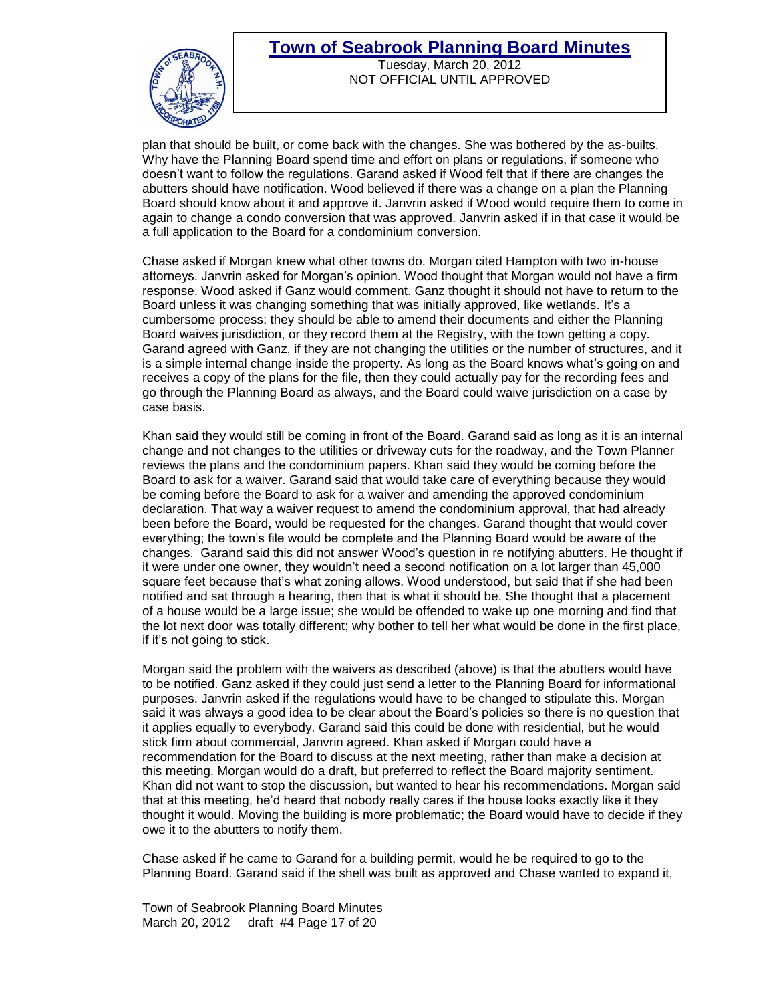

Tuesday, March 20, 2012 NOT OFFICIAL UNTIL APPROVED

plan that should be built, or come back with the changes. She was bothered by the as-builts. Why have the Planning Board spend time and effort on plans or regulations, if someone who doesn"t want to follow the regulations. Garand asked if Wood felt that if there are changes the abutters should have notification. Wood believed if there was a change on a plan the Planning Board should know about it and approve it. Janvrin asked if Wood would require them to come in again to change a condo conversion that was approved. Janvrin asked if in that case it would be a full application to the Board for a condominium conversion.

Chase asked if Morgan knew what other towns do. Morgan cited Hampton with two in-house attorneys. Janvrin asked for Morgan"s opinion. Wood thought that Morgan would not have a firm response. Wood asked if Ganz would comment. Ganz thought it should not have to return to the Board unless it was changing something that was initially approved, like wetlands. It's a cumbersome process; they should be able to amend their documents and either the Planning Board waives jurisdiction, or they record them at the Registry, with the town getting a copy. Garand agreed with Ganz, if they are not changing the utilities or the number of structures, and it is a simple internal change inside the property. As long as the Board knows what"s going on and receives a copy of the plans for the file, then they could actually pay for the recording fees and go through the Planning Board as always, and the Board could waive jurisdiction on a case by case basis.

Khan said they would still be coming in front of the Board. Garand said as long as it is an internal change and not changes to the utilities or driveway cuts for the roadway, and the Town Planner reviews the plans and the condominium papers. Khan said they would be coming before the Board to ask for a waiver. Garand said that would take care of everything because they would be coming before the Board to ask for a waiver and amending the approved condominium declaration. That way a waiver request to amend the condominium approval, that had already been before the Board, would be requested for the changes. Garand thought that would cover everything; the town"s file would be complete and the Planning Board would be aware of the changes. Garand said this did not answer Wood"s question in re notifying abutters. He thought if it were under one owner, they wouldn"t need a second notification on a lot larger than 45,000 square feet because that"s what zoning allows. Wood understood, but said that if she had been notified and sat through a hearing, then that is what it should be. She thought that a placement of a house would be a large issue; she would be offended to wake up one morning and find that the lot next door was totally different; why bother to tell her what would be done in the first place, if it"s not going to stick.

Morgan said the problem with the waivers as described (above) is that the abutters would have to be notified. Ganz asked if they could just send a letter to the Planning Board for informational purposes. Janvrin asked if the regulations would have to be changed to stipulate this. Morgan said it was always a good idea to be clear about the Board"s policies so there is no question that it applies equally to everybody. Garand said this could be done with residential, but he would stick firm about commercial, Janvrin agreed. Khan asked if Morgan could have a recommendation for the Board to discuss at the next meeting, rather than make a decision at this meeting. Morgan would do a draft, but preferred to reflect the Board majority sentiment. Khan did not want to stop the discussion, but wanted to hear his recommendations. Morgan said that at this meeting, he"d heard that nobody really cares if the house looks exactly like it they thought it would. Moving the building is more problematic; the Board would have to decide if they owe it to the abutters to notify them.

Chase asked if he came to Garand for a building permit, would he be required to go to the Planning Board. Garand said if the shell was built as approved and Chase wanted to expand it,

Town of Seabrook Planning Board Minutes March 20, 2012 draft #4 Page 17 of 20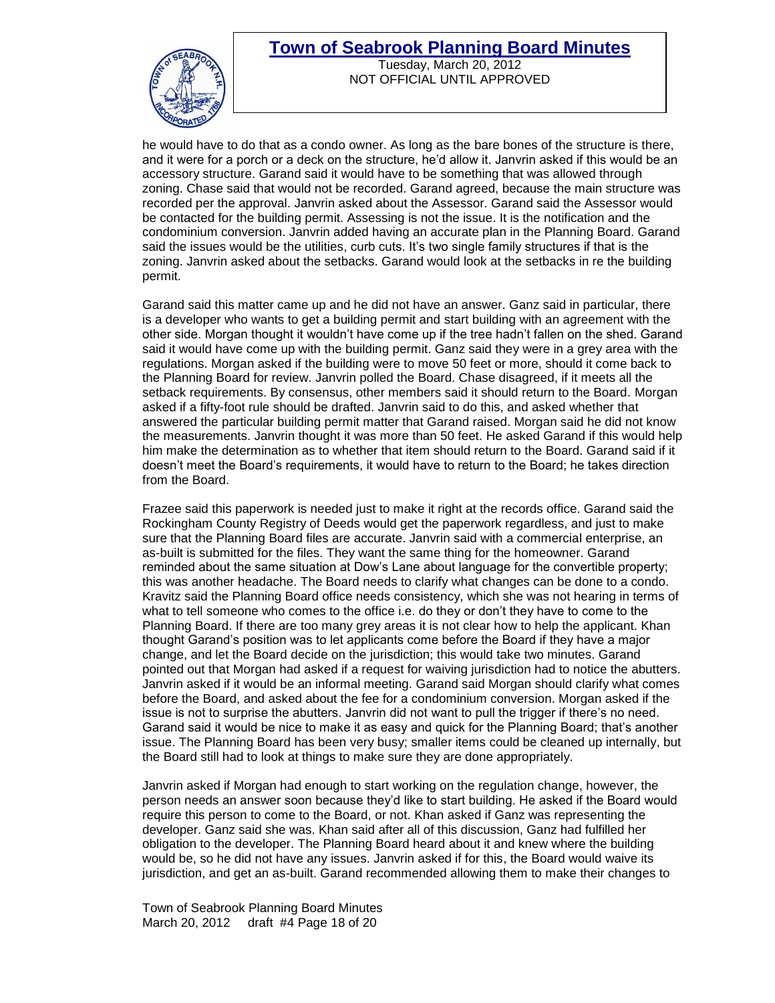

Tuesday, March 20, 2012 NOT OFFICIAL UNTIL APPROVED

he would have to do that as a condo owner. As long as the bare bones of the structure is there, and it were for a porch or a deck on the structure, he"d allow it. Janvrin asked if this would be an accessory structure. Garand said it would have to be something that was allowed through zoning. Chase said that would not be recorded. Garand agreed, because the main structure was recorded per the approval. Janvrin asked about the Assessor. Garand said the Assessor would be contacted for the building permit. Assessing is not the issue. It is the notification and the condominium conversion. Janvrin added having an accurate plan in the Planning Board. Garand said the issues would be the utilities, curb cuts. It"s two single family structures if that is the zoning. Janvrin asked about the setbacks. Garand would look at the setbacks in re the building permit.

Garand said this matter came up and he did not have an answer. Ganz said in particular, there is a developer who wants to get a building permit and start building with an agreement with the other side. Morgan thought it wouldn"t have come up if the tree hadn"t fallen on the shed. Garand said it would have come up with the building permit. Ganz said they were in a grey area with the regulations. Morgan asked if the building were to move 50 feet or more, should it come back to the Planning Board for review. Janvrin polled the Board. Chase disagreed, if it meets all the setback requirements. By consensus, other members said it should return to the Board. Morgan asked if a fifty-foot rule should be drafted. Janvrin said to do this, and asked whether that answered the particular building permit matter that Garand raised. Morgan said he did not know the measurements. Janvrin thought it was more than 50 feet. He asked Garand if this would help him make the determination as to whether that item should return to the Board. Garand said if it doesn"t meet the Board"s requirements, it would have to return to the Board; he takes direction from the Board.

Frazee said this paperwork is needed just to make it right at the records office. Garand said the Rockingham County Registry of Deeds would get the paperwork regardless, and just to make sure that the Planning Board files are accurate. Janvrin said with a commercial enterprise, an as-built is submitted for the files. They want the same thing for the homeowner. Garand reminded about the same situation at Dow"s Lane about language for the convertible property; this was another headache. The Board needs to clarify what changes can be done to a condo. Kravitz said the Planning Board office needs consistency, which she was not hearing in terms of what to tell someone who comes to the office i.e. do they or don"t they have to come to the Planning Board. If there are too many grey areas it is not clear how to help the applicant. Khan thought Garand"s position was to let applicants come before the Board if they have a major change, and let the Board decide on the jurisdiction; this would take two minutes. Garand pointed out that Morgan had asked if a request for waiving jurisdiction had to notice the abutters. Janvrin asked if it would be an informal meeting. Garand said Morgan should clarify what comes before the Board, and asked about the fee for a condominium conversion. Morgan asked if the issue is not to surprise the abutters. Janvrin did not want to pull the trigger if there"s no need. Garand said it would be nice to make it as easy and quick for the Planning Board; that's another issue. The Planning Board has been very busy; smaller items could be cleaned up internally, but the Board still had to look at things to make sure they are done appropriately.

Janvrin asked if Morgan had enough to start working on the regulation change, however, the person needs an answer soon because they"d like to start building. He asked if the Board would require this person to come to the Board, or not. Khan asked if Ganz was representing the developer. Ganz said she was. Khan said after all of this discussion, Ganz had fulfilled her obligation to the developer. The Planning Board heard about it and knew where the building would be, so he did not have any issues. Janvrin asked if for this, the Board would waive its jurisdiction, and get an as-built. Garand recommended allowing them to make their changes to

Town of Seabrook Planning Board Minutes March 20, 2012 draft #4 Page 18 of 20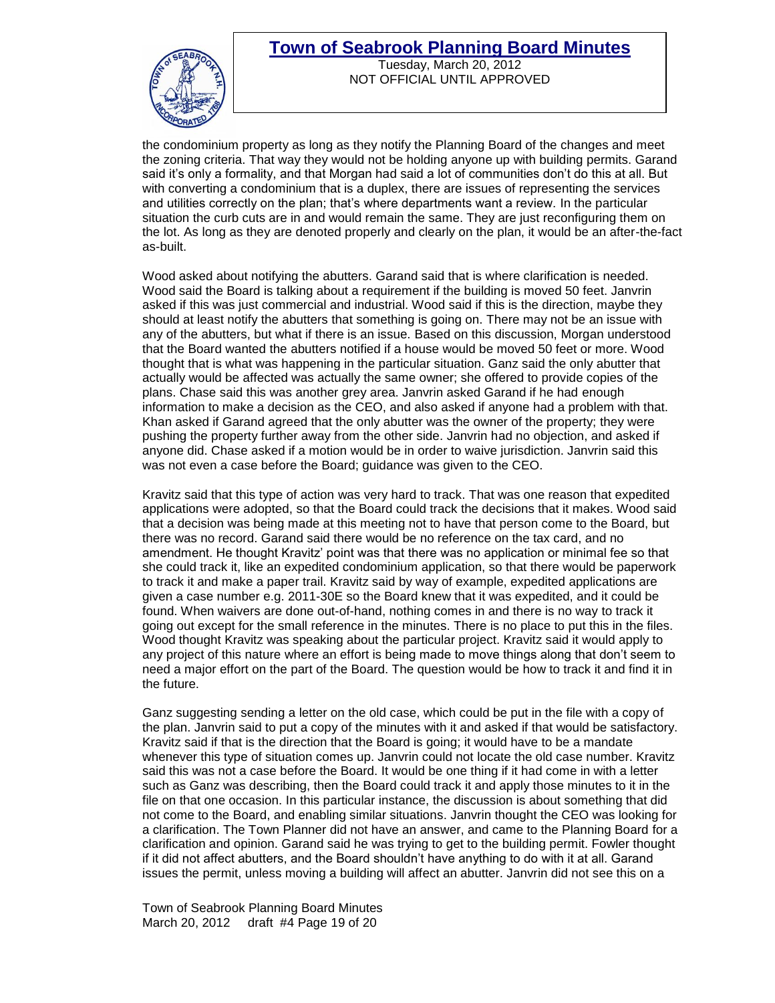

Tuesday, March 20, 2012 NOT OFFICIAL UNTIL APPROVED

the condominium property as long as they notify the Planning Board of the changes and meet the zoning criteria. That way they would not be holding anyone up with building permits. Garand said it's only a formality, and that Morgan had said a lot of communities don't do this at all. But with converting a condominium that is a duplex, there are issues of representing the services and utilities correctly on the plan; that"s where departments want a review. In the particular situation the curb cuts are in and would remain the same. They are just reconfiguring them on the lot. As long as they are denoted properly and clearly on the plan, it would be an after-the-fact as-built.

Wood asked about notifying the abutters. Garand said that is where clarification is needed. Wood said the Board is talking about a requirement if the building is moved 50 feet. Janvrin asked if this was just commercial and industrial. Wood said if this is the direction, maybe they should at least notify the abutters that something is going on. There may not be an issue with any of the abutters, but what if there is an issue. Based on this discussion, Morgan understood that the Board wanted the abutters notified if a house would be moved 50 feet or more. Wood thought that is what was happening in the particular situation. Ganz said the only abutter that actually would be affected was actually the same owner; she offered to provide copies of the plans. Chase said this was another grey area. Janvrin asked Garand if he had enough information to make a decision as the CEO, and also asked if anyone had a problem with that. Khan asked if Garand agreed that the only abutter was the owner of the property; they were pushing the property further away from the other side. Janvrin had no objection, and asked if anyone did. Chase asked if a motion would be in order to waive jurisdiction. Janvrin said this was not even a case before the Board; guidance was given to the CEO.

Kravitz said that this type of action was very hard to track. That was one reason that expedited applications were adopted, so that the Board could track the decisions that it makes. Wood said that a decision was being made at this meeting not to have that person come to the Board, but there was no record. Garand said there would be no reference on the tax card, and no amendment. He thought Kravitz" point was that there was no application or minimal fee so that she could track it, like an expedited condominium application, so that there would be paperwork to track it and make a paper trail. Kravitz said by way of example, expedited applications are given a case number e.g. 2011-30E so the Board knew that it was expedited, and it could be found. When waivers are done out-of-hand, nothing comes in and there is no way to track it going out except for the small reference in the minutes. There is no place to put this in the files. Wood thought Kravitz was speaking about the particular project. Kravitz said it would apply to any project of this nature where an effort is being made to move things along that don"t seem to need a major effort on the part of the Board. The question would be how to track it and find it in the future.

Ganz suggesting sending a letter on the old case, which could be put in the file with a copy of the plan. Janvrin said to put a copy of the minutes with it and asked if that would be satisfactory. Kravitz said if that is the direction that the Board is going; it would have to be a mandate whenever this type of situation comes up. Janvrin could not locate the old case number. Kravitz said this was not a case before the Board. It would be one thing if it had come in with a letter such as Ganz was describing, then the Board could track it and apply those minutes to it in the file on that one occasion. In this particular instance, the discussion is about something that did not come to the Board, and enabling similar situations. Janvrin thought the CEO was looking for a clarification. The Town Planner did not have an answer, and came to the Planning Board for a clarification and opinion. Garand said he was trying to get to the building permit. Fowler thought if it did not affect abutters, and the Board shouldn"t have anything to do with it at all. Garand issues the permit, unless moving a building will affect an abutter. Janvrin did not see this on a

Town of Seabrook Planning Board Minutes March 20, 2012 draft #4 Page 19 of 20